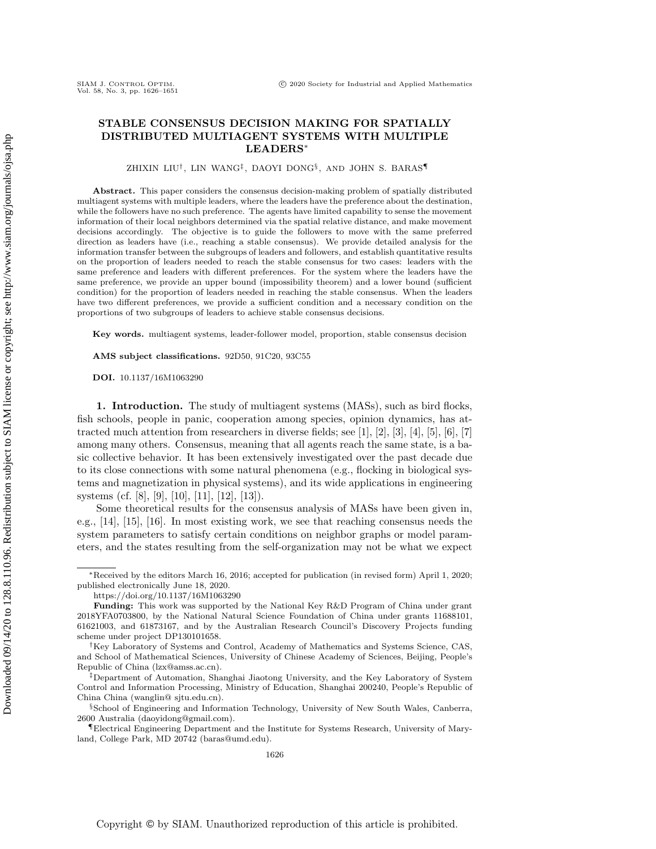# STABLE CONSENSUS DECISION MAKING FOR SPATIALLY DISTRIBUTED MULTIAGENT SYSTEMS WITH MULTIPLE  $LEADER$ <sup>\*</sup>

ZHIXIN LIU†, LIN WANG $^\ddagger,$  DAOYI DONG $^\S,$  and JOHN S. BARAS $^\P$ 

Abstract. This paper considers the consensus decision-making problem of spatially distributed multiagent systems with multiple leaders, where the leaders have the preference about the destination, while the followers have no such preference. The agents have limited capability to sense the movement information of their local neighbors determined via the spatial relative distance, and make movement decisions accordingly. The objective is to guide the followers to move with the same preferred direction as leaders have (i.e., reaching a stable consensus). We provide detailed analysis for the information transfer between the subgroups of leaders and followers, and establish quantitative results on the proportion of leaders needed to reach the stable consensus for two cases: leaders with the same preference and leaders with different preferences. For the system where the leaders have the same preference, we provide an upper bound (impossibility theorem) and a lower bound (sufficient condition) for the proportion of leaders needed in reaching the stable consensus. When the leaders have two different preferences, we provide a sufficient condition and a necessary condition on the proportions of two subgroups of leaders to achieve stable consensus decisions.

Key words. multiagent systems, leader-follower model, proportion, stable consensus decision

AMS subject classifications. 92D50, 91C20, 93C55

DOI. 10.1137/16M1063290

SIAM J. CONTROL OPTIM.<br>Vol. 58, No. 3, pp. 1626-1651

1. Introduction. The study of multiagent systems (MASs), such as bird flocks, fish schools, people in panic, cooperation among species, opinion dynamics, has attracted much attention from researchers in diverse fields; see [\[1\]](#page-24-0), [\[2\]](#page-24-1), [\[3\]](#page-24-2), [\[4\]](#page-24-3), [\[5\]](#page-24-4), [\[6\]](#page-24-5), [\[7\]](#page-24-6) among many others. Consensus, meaning that all agents reach the same state, is a basic collective behavior. It has been extensively investigated over the past decade due to its close connections with some natural phenomena (e.g., flocking in biological systems and magnetization in physical systems), and its wide applications in engineering systems (cf. [\[8\]](#page-24-7), [\[9\]](#page-24-8), [\[10\]](#page-24-9), [\[11\]](#page-24-10), [\[12\]](#page-24-11), [\[13\]](#page-24-12)).

Some theoretical results for the consensus analysis of MASs have been given in, e.g., [\[14\]](#page-24-13), [\[15\]](#page-24-14), [\[16\]](#page-24-15). In most existing work, we see that reaching consensus needs the system parameters to satisfy certain conditions on neighbor graphs or model parameters, and the states resulting from the self-organization may not be what we expect

<sup>\*</sup>Received by the editors March 16, 2016; accepted for publication (in revised form) April 1, 2020; published electronically June 18, 2020.

<https://doi.org/10.1137/16M1063290>

**Funding:** This work was supported by the National Key R&D Program of China under grant 2018YFA0703800, by the National Natural Science Foundation of China under grants 11688101, 61621003, and 61873167, and by the Australian Research Council's Discovery Projects funding scheme under project DP130101658.

<sup>&</sup>lt;sup>†</sup>Key Laboratory of Systems and Control, Academy of Mathematics and Systems Science, CAS, and School of Mathematical Sciences, University of Chinese Academy of Sciences, Beijing, People's Republic of China [\(lzx@amss.ac.cn\)](mailto:lzx@amss.ac.cn).

<sup>&</sup>lt;sup>‡</sup>Department of Automation, Shanghai Jiaotong University, and the Key Laboratory of System Control and Information Processing, Ministry of Education, Shanghai 200240, People's Republic of China China [\(wanglin@ sjtu.edu.cn\)](mailto:wanglin@sjtu.edu.cn).

School of Engineering and Information Technology, University of New South Wales, Canberra, 2600 Australia [\(daoyidong@gmail.com\)](mailto:daoyidong@gmail.com).

<sup>\</sup>P Electrical Engineering Department and the Institute for Systems Research, University of Maryland, College Park, MD 20742 [\(baras@umd.edu\)](mailto:baras@umd.edu).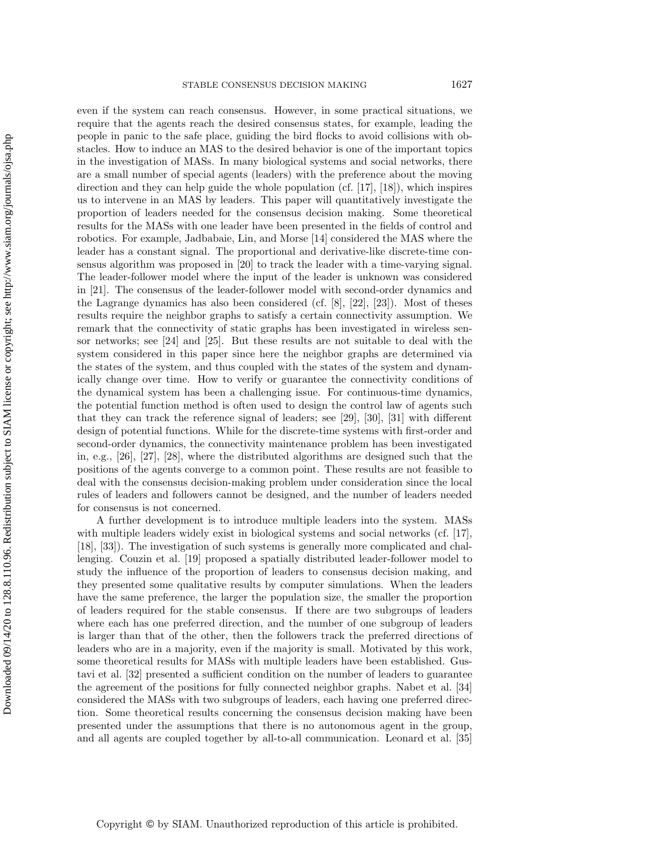even if the system can reach consensus. However, in some practical situations, we require that the agents reach the desired consensus states, for example, leading the people in panic to the safe place, guiding the bird flocks to avoid collisions with obstacles. How to induce an MAS to the desired behavior is one of the important topics in the investigation of MASs. In many biological systems and social networks, there are a small number of special agents (leaders) with the preference about the moving direction and they can help guide the whole population (cf. [\[17\]](#page-24-16), [\[18\]](#page-24-17)), which inspires us to intervene in an MAS by leaders. This paper will quantitatively investigate the proportion of leaders needed for the consensus decision making. Some theoretical results for the MASs with one leader have been presented in the fields of control and robotics. For example, Jadbabaie, Lin, and Morse [\[14\]](#page-24-13) considered the MAS where the leader has a constant signal. The proportional and derivative-like discrete-time consensus algorithm was proposed in [\[20\]](#page-24-18) to track the leader with a time-varying signal. The leader-follower model where the input of the leader is unknown was considered in [\[21\]](#page-24-19). The consensus of the leader-follower model with second-order dynamics and the Lagrange dynamics has also been considered (cf. [\[8\]](#page-24-7), [\[22\]](#page-24-20), [\[23\]](#page-24-21)). Most of theses results require the neighbor graphs to satisfy a certain connectivity assumption. We remark that the connectivity of static graphs has been investigated in wireless sensor networks; see [\[24\]](#page-24-22) and [\[25\]](#page-24-23). But these results are not suitable to deal with the system considered in this paper since here the neighbor graphs are determined via the states of the system, and thus coupled with the states of the system and dynamically change over time. How to verify or guarantee the connectivity conditions of the dynamical system has been a challenging issue. For continuous-time dynamics, the potential function method is often used to design the control law of agents such that they can track the reference signal of leaders; see [\[29\]](#page-25-0), [\[30\]](#page-25-1), [\[31\]](#page-25-2) with different design of potential functions. While for the discrete-time systems with first-order and second-order dynamics, the connectivity maintenance problem has been investigated in, e.g., [\[26\]](#page-24-24), [\[27\]](#page-24-25), [\[28\]](#page-25-3), where the distributed algorithms are designed such that the positions of the agents converge to a common point. These results are not feasible to deal with the consensus decision-making problem under consideration since the local rules of leaders and followers cannot be designed, and the number of leaders needed for consensus is not concerned.

A further development is to introduce multiple leaders into the system. MASs with multiple leaders widely exist in biological systems and social networks (cf. [\[17\]](#page-24-16), [\[18\]](#page-24-17), [\[33\]](#page-25-4)). The investigation of such systems is generally more complicated and challenging. Couzin et al. [\[19\]](#page-24-26) proposed a spatially distributed leader-follower model to study the influence of the proportion of leaders to consensus decision making, and they presented some qualitative results by computer simulations. When the leaders have the same preference, the larger the population size, the smaller the proportion of leaders required for the stable consensus. If there are two subgroups of leaders where each has one preferred direction, and the number of one subgroup of leaders is larger than that of the other, then the followers track the preferred directions of leaders who are in a majority, even if the majority is small. Motivated by this work, some theoretical results for MASs with multiple leaders have been established. Gustavi et al. [\[32\]](#page-25-5) presented a sufficient condition on the number of leaders to guarantee the agreement of the positions for fully connected neighbor graphs. Nabet et al. [\[34\]](#page-25-6) considered the MASs with two subgroups of leaders, each having one preferred direction. Some theoretical results concerning the consensus decision making have been presented under the assumptions that there is no autonomous agent in the group, and all agents are coupled together by all-to-all communication. Leonard et al. [\[35\]](#page-25-7)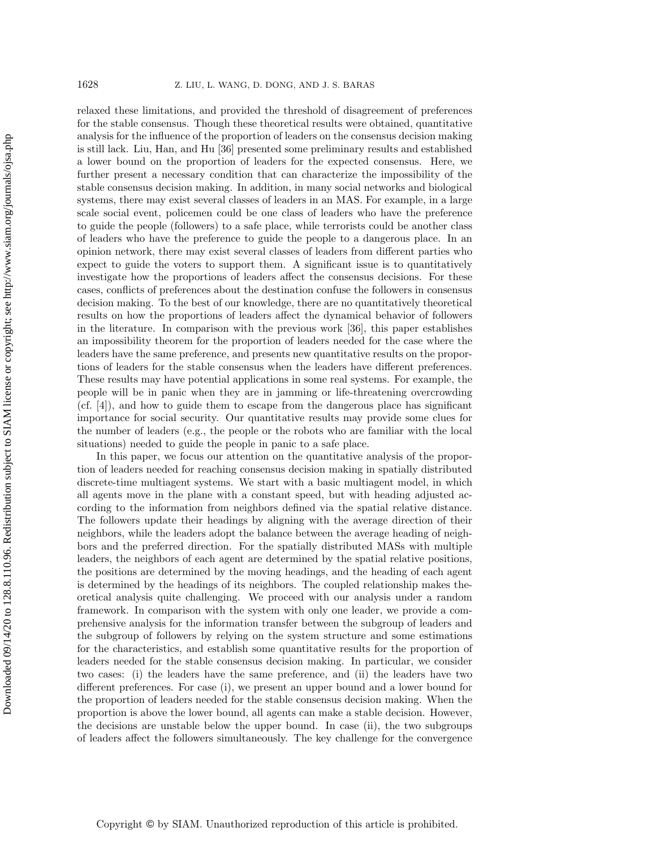relaxed these limitations, and provided the threshold of disagreement of preferences for the stable consensus. Though these theoretical results were obtained, quantitative analysis for the influence of the proportion of leaders on the consensus decision making is still lack. Liu, Han, and Hu [\[36\]](#page-25-8) presented some preliminary results and established a lower bound on the proportion of leaders for the expected consensus. Here, we further present a necessary condition that can characterize the impossibility of the stable consensus decision making. In addition, in many social networks and biological systems, there may exist several classes of leaders in an MAS. For example, in a large scale social event, policemen could be one class of leaders who have the preference to guide the people (followers) to a safe place, while terrorists could be another class of leaders who have the preference to guide the people to a dangerous place. In an opinion network, there may exist several classes of leaders from different parties who expect to guide the voters to support them. A significant issue is to quantitatively investigate how the proportions of leaders affect the consensus decisions. For these cases, conflicts of preferences about the destination confuse the followers in consensus decision making. To the best of our knowledge, there are no quantitatively theoretical results on how the proportions of leaders affect the dynamical behavior of followers in the literature. In comparison with the previous work [\[36\]](#page-25-8), this paper establishes an impossibility theorem for the proportion of leaders needed for the case where the leaders have the same preference, and presents new quantitative results on the proportions of leaders for the stable consensus when the leaders have different preferences. These results may have potential applications in some real systems. For example, the people will be in panic when they are in jamming or life-threatening overcrowding (cf. [\[4\]](#page-24-3)), and how to guide them to escape from the dangerous place has significant importance for social security. Our quantitative results may provide some clues for the number of leaders (e.g., the people or the robots who are familiar with the local situations) needed to guide the people in panic to a safe place.

In this paper, we focus our attention on the quantitative analysis of the proportion of leaders needed for reaching consensus decision making in spatially distributed discrete-time multiagent systems. We start with a basic multiagent model, in which all agents move in the plane with a constant speed, but with heading adjusted according to the information from neighbors defined via the spatial relative distance. The followers update their headings by aligning with the average direction of their neighbors, while the leaders adopt the balance between the average heading of neighbors and the preferred direction. For the spatially distributed MASs with multiple leaders, the neighbors of each agent are determined by the spatial relative positions, the positions are determined by the moving headings, and the heading of each agent is determined by the headings of its neighbors. The coupled relationship makes theoretical analysis quite challenging. We proceed with our analysis under a random framework. In comparison with the system with only one leader, we provide a comprehensive analysis for the information transfer between the subgroup of leaders and the subgroup of followers by relying on the system structure and some estimations for the characteristics, and establish some quantitative results for the proportion of leaders needed for the stable consensus decision making. In particular, we consider two cases: (i) the leaders have the same preference, and (ii) the leaders have two different preferences. For case (i), we present an upper bound and a lower bound for the proportion of leaders needed for the stable consensus decision making. When the proportion is above the lower bound, all agents can make a stable decision. However, the decisions are unstable below the upper bound. In case (ii), the two subgroups of leaders affect the followers simultaneously. The key challenge for the convergence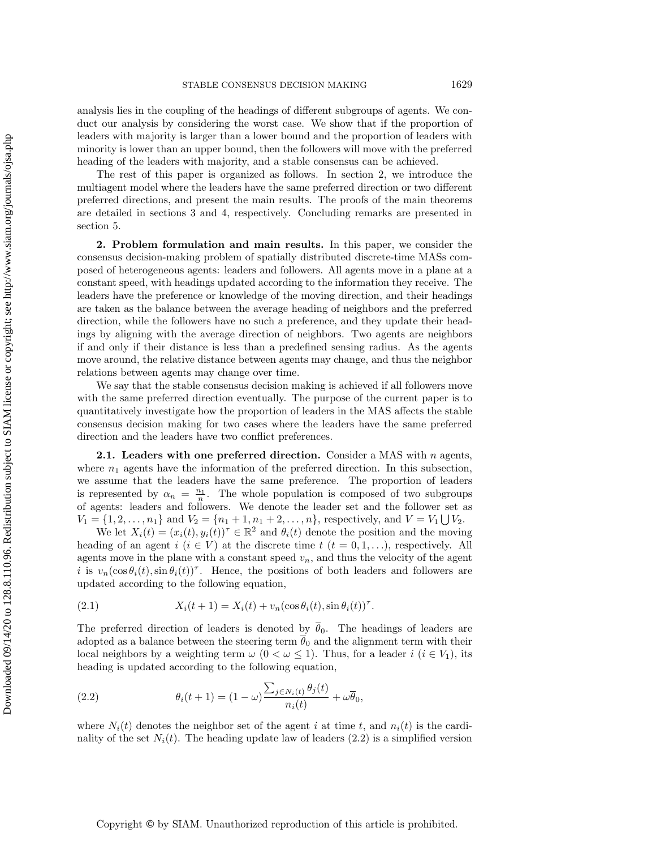analysis lies in the coupling of the headings of different subgroups of agents. We conduct our analysis by considering the worst case. We show that if the proportion of leaders with majority is larger than a lower bound and the proportion of leaders with minority is lower than an upper bound, then the followers will move with the preferred heading of the leaders with majority, and a stable consensus can be achieved.

The rest of this paper is organized as follows. In section [2,](#page-3-0) we introduce the multiagent model where the leaders have the same preferred direction or two different preferred directions, and present the main results. The proofs of the main theorems are detailed in sections [3](#page-9-0) and [4,](#page-14-0) respectively. Concluding remarks are presented in section [5.](#page-20-0)

<span id="page-3-0"></span>2. Problem formulation and main results. In this paper, we consider the consensus decision-making problem of spatially distributed discrete-time MASs composed of heterogeneous agents: leaders and followers. All agents move in a plane at a constant speed, with headings updated according to the information they receive. The leaders have the preference or knowledge of the moving direction, and their headings are taken as the balance between the average heading of neighbors and the preferred direction, while the followers have no such a preference, and they update their headings by aligning with the average direction of neighbors. Two agents are neighbors if and only if their distance is less than a predefined sensing radius. As the agents move around, the relative distance between agents may change, and thus the neighbor relations between agents may change over time.

We say that the stable consensus decision making is achieved if all followers move with the same preferred direction eventually. The purpose of the current paper is to quantitatively investigate how the proportion of leaders in the MAS affects the stable consensus decision making for two cases where the leaders have the same preferred direction and the leaders have two conflict preferences.

<span id="page-3-3"></span>**2.1.** Leaders with one preferred direction. Consider a MAS with  $n$  agents, where  $n_1$  agents have the information of the preferred direction. In this subsection, we assume that the leaders have the same preference. The proportion of leaders is represented by  $\alpha_n = \frac{n_1}{n}$ . The whole population is composed of two subgroups of agents: leaders and followers. We denote the leader set and the follower set as  $V_1 = \{ 1, 2, \ldots, n_1\}$  and  $V_2 = \{ n_1 + 1, n_1 + 2, \ldots, n\}$ , respectively, and  $V = V_1 \bigcup V_2$ .

We let  $X_i(t) = (x_i(t), y_i(t))^\tau \in \mathbb{R}^2$  and  $\theta_i(t)$  denote the position and the moving heading of an agent  $i \ (i \in V )$  at the discrete time  $t \ (t = 0, 1, \ldots )$ , respectively. All agents move in the plane with a constant speed  $v_n$ , and thus the velocity of the agent i is  $v_n(\cos \theta_i(t), \sin \theta_i(t))$ <sup>T</sup>. Hence, the positions of both leaders and followers are updated according to the following equation,

<span id="page-3-2"></span>(2.1) 
$$
X_i(t+1) = X_i(t) + v_n(\cos \theta_i(t), \sin \theta_i(t))^{\tau}.
$$

The preferred direction of leaders is denoted by  $\overline{\theta}_0$ . The headings of leaders are adopted as a balance between the steering term  $\overline{\theta}_0$  and the alignment term with their local neighbors by a weighting term  $\omega$   $(0 < \omega \leq 1)$ . Thus, for a leader  $i$   $(i \in V_1)$ , its heading is updated according to the following equation,

<span id="page-3-1"></span>(2.2) 
$$
\theta_i(t+1) = (1-\omega) \frac{\sum_{j \in N_i(t)} \theta_j(t)}{n_i(t)} + \omega \overline{\theta}_0,
$$

where  $N_i(t)$  denotes the neighbor set of the agent i at time t, and  $n_i(t)$  is the cardinality of the set  $N_i(t)$ . The heading update law of leaders [\(2.2\)](#page-3-1) is a simplified version

Copyright © by SIAM. Unauthorized reproduction of this article is prohibited.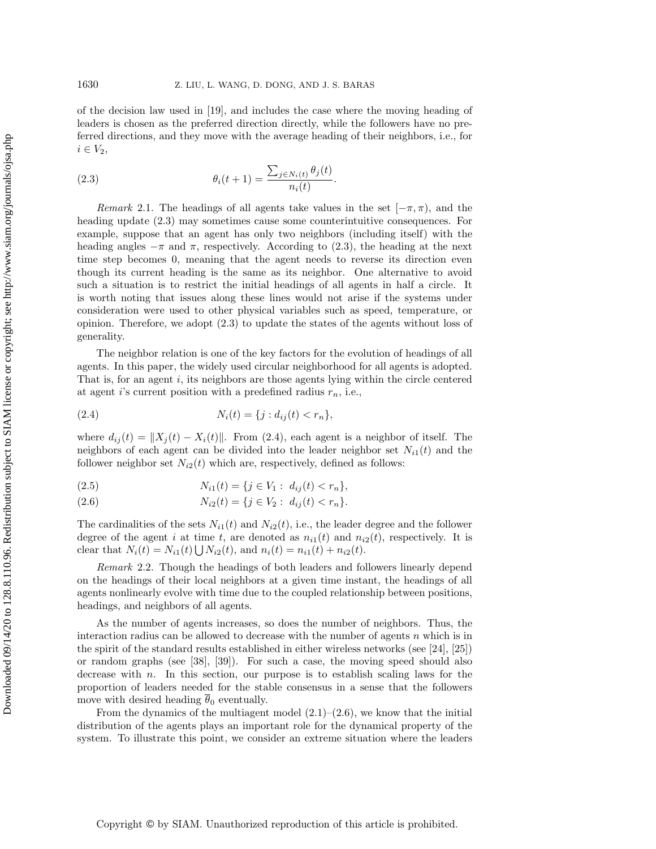of the decision law used in [\[19\]](#page-24-26), and includes the case where the moving heading of leaders is chosen as the preferred direction directly, while the followers have no preferred directions, and they move with the average heading of their neighbors, i.e., for  $i \in V_2$ ,

<span id="page-4-0"></span>(2.3) 
$$
\theta_i(t+1) = \frac{\sum_{j \in N_i(t)} \theta_j(t)}{n_i(t)}.
$$

Remark 2.1. The headings of all agents take values in the set  $[-\pi, \pi )$ , and the heading update [\(2.3\)](#page-4-0) may sometimes cause some counterintuitive consequences. For example, suppose that an agent has only two neighbors (including itself) with the heading angles  $-\pi$  and  $\pi$ , respectively. According to [\(2.3\)](#page-4-0), the heading at the next time step becomes 0, meaning that the agent needs to reverse its direction even though its current heading is the same as its neighbor. One alternative to avoid such a situation is to restrict the initial headings of all agents in half a circle. It is worth noting that issues along these lines would not arise if the systems under consideration were used to other physical variables such as speed, temperature, or opinion. Therefore, we adopt [\(2.3\)](#page-4-0) to update the states of the agents without loss of generality.

The neighbor relation is one of the key factors for the evolution of headings of all agents. In this paper, the widely used circular neighborhood for all agents is adopted. That is, for an agent  $i$ , its neighbors are those agents lying within the circle centered at agent i's current position with a predefined radius  $r_n$ , i.e.,

<span id="page-4-1"></span>(2.4) 
$$
N_i(t) = \{j : d_{ij}(t) < r_n\},
$$

where  $d_{ij} (t) = \| X_i(t) - X_i(t) \|$ . From [\(2.4\)](#page-4-1), each agent is a neighbor of itself. The neighbors of each agent can be divided into the leader neighbor set  $N_{i1}(t)$  and the follower neighbor set  $N_{i2}(t)$  which are, respectively, defined as follows:

<span id="page-4-2"></span>(2.5) 
$$
N_{i1}(t) = \{j \in V_1 : d_{ij}(t) < r_n\},
$$

(2.6) 
$$
N_{i2}(t) = \{j \in V_2: d_{ij}(t) < r_n\}.
$$

The cardinalities of the sets  $N_{i1}(t)$  and  $N_{i2}(t)$ , i.e., the leader degree and the follower degree of the agent i at time t, are denoted as  $n_{i1}(t)$  and  $n_{i2}(t)$ , respectively. It is clear that  $N_i(t) = N_{i1}(t) \bigcup N_{i2}(t)$ , and  $n_i(t) = n_{i1}(t) + n_{i2}(t)$ .

Remark 2.2. Though the headings of both leaders and followers linearly depend on the headings of their local neighbors at a given time instant, the headings of all agents nonlinearly evolve with time due to the coupled relationship between positions, headings, and neighbors of all agents.

As the number of agents increases, so does the number of neighbors. Thus, the interaction radius can be allowed to decrease with the number of agents  $n$  which is in the spirit of the standard results established in either wireless networks (see [\[24\]](#page-24-22), [\[25\]](#page-24-23)) or random graphs (see [\[38\]](#page-25-9), [\[39\]](#page-25-10)). For such a case, the moving speed should also decrease with  $n$ . In this section, our purpose is to establish scaling laws for the proportion of leaders needed for the stable consensus in a sense that the followers move with desired heading  $\overline{\theta}_0$  eventually.

From the dynamics of the multiagent model  $(2.1)$ – $(2.6)$ , we know that the initial distribution of the agents plays an important role for the dynamical property of the system. To illustrate this point, we consider an extreme situation where the leaders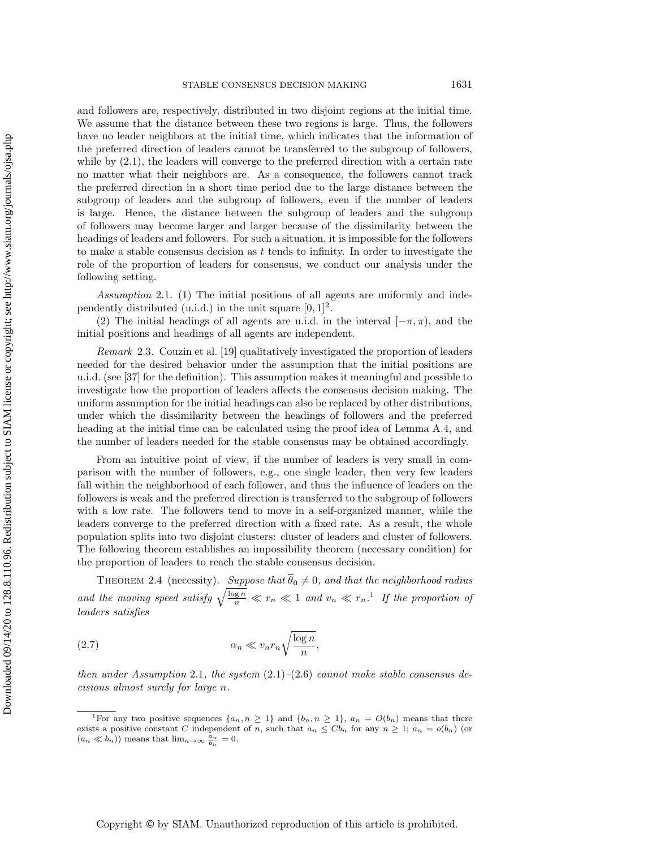and followers are, respectively, distributed in two disjoint regions at the initial time. We assume that the distance between these two regions is large. Thus, the followers have no leader neighbors at the initial time, which indicates that the information of the preferred direction of leaders cannot be transferred to the subgroup of followers, while by  $(2.1)$ , the leaders will converge to the preferred direction with a certain rate no matter what their neighbors are. As a consequence, the followers cannot track the preferred direction in a short time period due to the large distance between the subgroup of leaders and the subgroup of followers, even if the number of leaders is large. Hence, the distance between the subgroup of leaders and the subgroup of followers may become larger and larger because of the dissimilarity between the headings of leaders and followers. For such a situation, it is impossible for the followers to make a stable consensus decision as  $t$  tends to infinity. In order to investigate the role of the proportion of leaders for consensus, we conduct our analysis under the following setting.

<span id="page-5-1"></span>Assumption 2.1. (1) The initial positions of all agents are uniformly and independently distributed (u.i.d.) in the unit square  $[0, 1]^2$ .

(2) The initial headings of all agents are u.i.d. in the interval  $[-\pi, \pi )$ , and the initial positions and headings of all agents are independent.

Remark 2.3. Couzin et al. [\[19\]](#page-24-26) qualitatively investigated the proportion of leaders needed for the desired behavior under the assumption that the initial positions are u.i.d. (see [\[37\]](#page-25-11) for the definition). This assumption makes it meaningful and possible to investigate how the proportion of leaders affects the consensus decision making. The uniform assumption for the initial headings can also be replaced by other distributions, under which the dissimilarity between the headings of followers and the preferred heading at the initial time can be calculated using the proof idea of Lemma [A.4,](#page-21-0) and the number of leaders needed for the stable consensus may be obtained accordingly.

From an intuitive point of view, if the number of leaders is very small in comparison with the number of followers, e.g., one single leader, then very few leaders fall within the neighborhood of each follower, and thus the influence of leaders on the followers is weak and the preferred direction is transferred to the subgroup of followers with a low rate. The followers tend to move in a self-organized manner, while the leaders converge to the preferred direction with a fixed rate. As a result, the whole population splits into two disjoint clusters: cluster of leaders and cluster of followers. The following theorem establishes an impossibility theorem (necessary condition) for the proportion of leaders to reach the stable consensus decision.

<span id="page-5-2"></span>THEOREM 2.4 (necessity). Suppose that  $\overline{\theta}_0 \neq 0$ , and that the neighborhood radius and the moving speed satisfy  $\sqrt{\frac{\log n}{n}} \ll r_n \ll 1$  $\sqrt{\frac{\log n}{n}} \ll r_n \ll 1$  and  $v_n \ll r_n$ .<sup>1</sup> If the proportion of leaders satisfies

<span id="page-5-3"></span>\alpha <sup>n</sup> \ll vnr<sup>n</sup> \sqrt{} log n n (2.7) ,

then under Assumption [2.1](#page-5-1), the system  $(2.1)$ - $(2.6)$  cannot make stable consensus decisions almost surely for large n.

<span id="page-5-0"></span><sup>&</sup>lt;sup>1</sup>For any two positive sequences  $\{ a_n, n \geq 1\}$  and  $\{ b_n, n \geq 1\}$ ,  $a_n = O(b_n)$  means that there exists a positive constant C independent of n, such that  $a_n \leq Cb_n$  for any  $n \geq 1; a_n = o(b_n)$  (or  $(a_n \ll b_n))$  means that  $\lim_{n\to\infty} \frac{\tilde{a}_n}{b_n} = 0.$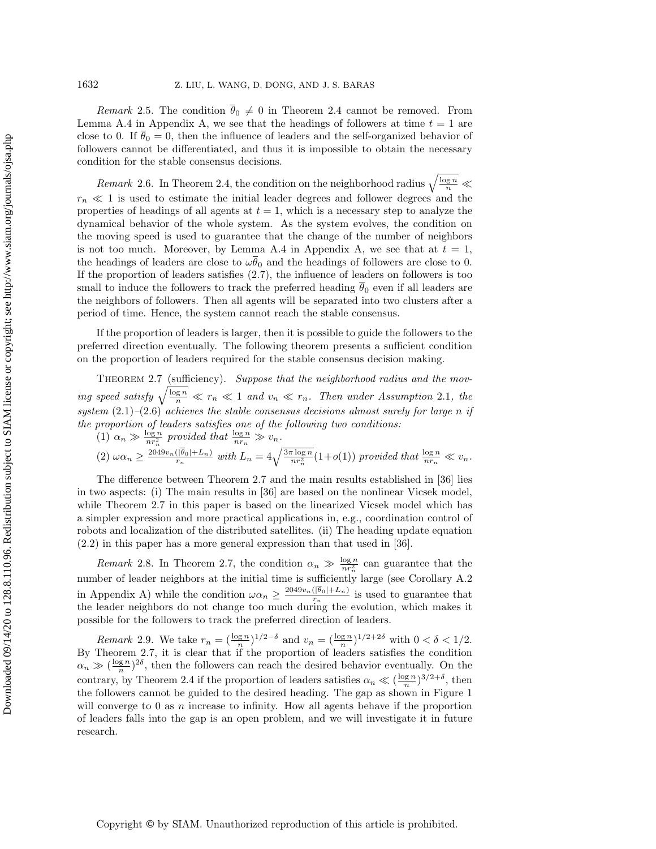Remark 2.5. The condition  $\theta_0 \neq 0$  in Theorem [2.4](#page-5-2) cannot be removed. From Lemma [A.4](#page-21-0) in Appendix [A,](#page-20-1) we see that the headings of followers at time  $t = 1$  are close to 0. If  $\theta_0 = 0$ , then the influence of leaders and the self-organized behavior of followers cannot be differentiated, and thus it is impossible to obtain the necessary condition for the stable consensus decisions.

Remark 2.6. In Theorem [2.4,](#page-5-2) the condition on the neighborhood radius  $\sqrt{\frac{\log n}{n}} \ll$  $r_n \ll 1$  is used to estimate the initial leader degrees and follower degrees and the properties of headings of all agents at  $t = 1$ , which is a necessary step to analyze the dynamical behavior of the whole system. As the system evolves, the condition on the moving speed is used to guarantee that the change of the number of neighbors is not too much. Moreover, by Lemma [A.4](#page-21-0) in Appendix [A,](#page-20-1) we see that at  $t = 1$ , the headings of leaders are close to  $\omega \overline{\theta}_0$  and the headings of followers are close to 0. If the proportion of leaders satisfies [\(2.7\)](#page-5-3), the influence of leaders on followers is too small to induce the followers to track the preferred heading  $\overline{\theta}_0$  even if all leaders are the neighbors of followers. Then all agents will be separated into two clusters after a period of time. Hence, the system cannot reach the stable consensus.

If the proportion of leaders is larger, then it is possible to guide the followers to the preferred direction eventually. The following theorem presents a sufficient condition on the proportion of leaders required for the stable consensus decision making.

<span id="page-6-0"></span>THEOREM 2.7 (sufficiency). Suppose that the neighborhood radius and the moving speed satisfy  $\sqrt{\frac{\log n}{n}} \ll r_n \ll 1$  and  $v_n \ll r_n$ . Then under Assumption [2.1](#page-5-1), the system  $(2.1)$ - $(2.6)$  achieves the stable consensus decisions almost surely for large n if the proportion of leaders satisfies one of the following two conditions:

(1)  $\alpha_n \gg \frac{\log n}{nr_n^2}$  provided that  $\frac{\log n}{nr_n} \gg v_n$ .  $(2) \omega \alpha_n \geq \frac{2049v_n(|\theta_0| + L_n)}{r_n}$  $\frac{(\vert \overline{\theta}_0 \vert + L_n)}{m_n}$  with  $L_n = 4\sqrt{\frac{3\pi \log n}{nr_n^2}}(1+o(1))$  provided that  $\frac{\log n}{nr_n} \ll v_n$ .

The difference between Theorem [2.7](#page-6-0) and the main results established in [\[36\]](#page-25-8) lies in two aspects: (i) The main results in [\[36\]](#page-25-8) are based on the nonlinear Vicsek model, while Theorem [2.7](#page-6-0) in this paper is based on the linearized Vicsek model which has a simpler expression and more practical applications in, e.g., coordination control of robots and localization of the distributed satellites. (ii) The heading update equation [\(2.2\)](#page-3-1) in this paper has a more general expression than that used in [\[36\]](#page-25-8).

Remark 2.8. In Theorem [2.7,](#page-6-0) the condition  $\alpha_n \gg \frac{\log n}{nr_n^2}$  can guarantee that the number of leader neighbors at the initial time is sufficiently large (see Corollary [A.2](#page-20-2)) in Appendix [A\)](#page-20-1) while the condition  $\omega \alpha_n \geq \frac{2049v_n(| \theta_0 | +L_n)}{r_n}$  $\frac{(\vert \theta_0 \vert + L_n)}{r_n}$  is used to guarantee that the leader neighbors do not change too much during the evolution, which makes it possible for the followers to track the preferred direction of leaders.

Remark 2.9. We take  $r_n = \left(\frac{\log n}{n}\right)^{1/2-\delta}$  and  $v_n = \left(\frac{\log n}{n}\right)^{1/2+2\delta}$  with  $0 < \delta < 1/2$ . By Theorem [2.7,](#page-6-0) it is clear that if the proportion of leaders satisfies the condition  $\alpha_n \gg (\frac{\log n}{n})^{2\delta}$ , then the followers can reach the desired behavior eventually. On the contrary, by Theorem [2.4](#page-5-2) if the proportion of leaders satisfies  $\alpha_n \ll (\frac{\log n}{n})^{3/2+\delta}$ , then the followers cannot be guided to the desired heading. The gap as shown in Figure [1](#page-7-0) will converge to 0 as  $n$  increase to infinity. How all agents behave if the proportion of leaders falls into the gap is an open problem, and we will investigate it in future research.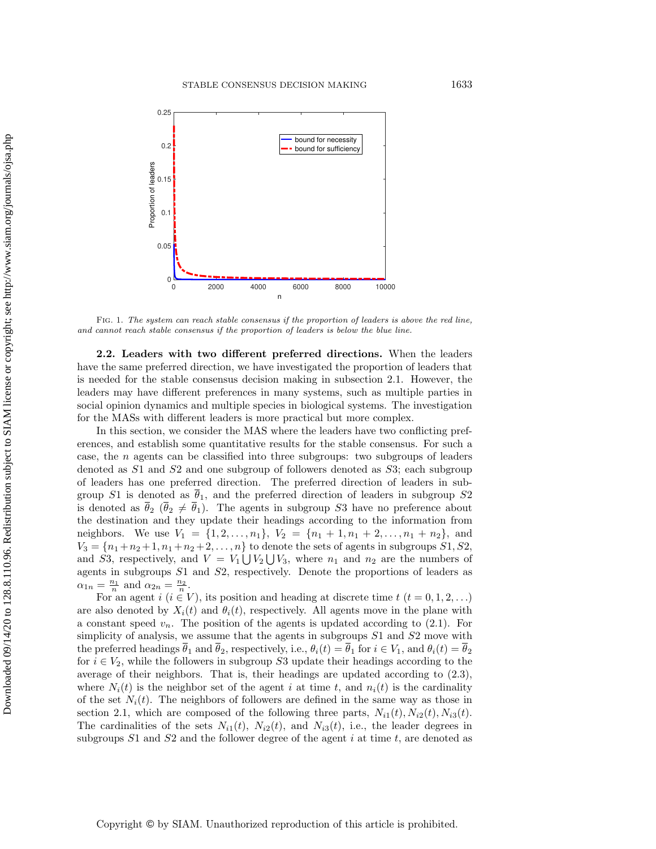<span id="page-7-0"></span>

Fig. 1. The system can reach stable consensus if the proportion of leaders is above the red line, and cannot reach stable consensus if the proportion of leaders is below the blue line.

2.2. Leaders with two different preferred directions. When the leaders have the same preferred direction, we have investigated the proportion of leaders that is needed for the stable consensus decision making in subsection [2.1.](#page-3-3) However, the leaders may have different preferences in many systems, such as multiple parties in social opinion dynamics and multiple species in biological systems. The investigation for the MASs with different leaders is more practical but more complex.

In this section, we consider the MAS where the leaders have two conflicting preferences, and establish some quantitative results for the stable consensus. For such a case, the n agents can be classified into three subgroups: two subgroups of leaders denoted as S1 and S2 and one subgroup of followers denoted as S3; each subgroup of leaders has one preferred direction. The preferred direction of leaders in subgroup S1 is denoted as  $\overline{\theta}_1$ , and the preferred direction of leaders in subgroup S2 is denoted as  $\overline \theta_2$  ( $\overline \theta_2 \neq \overline \theta_1$ ). The agents in subgroup S3 have no preference about the destination and they update their headings according to the information from neighbors. We use  $V_1 = \{ 1, 2, \ldots, n_1\}$ ,  $V_2 = \{ n_1 + 1, n_1 + 2, \ldots, n_1 + n_2\}$ , and  $V_3 = \{ n_1 + n_2 + 1, n_1 + n_2 + 2, ..., n \}$  to denote the sets of agents in subgroups  $S1, S2$ , and S3, respectively, and  $V = V_1 \bigcup V_2 \bigcup V_3$ , where  $n_1$  and  $n_2$  are the numbers of agents in subgroups S1 and S2, respectively. Denote the proportions of leaders as  $\alpha_{1n} = \frac{n_1}{n}$  and  $\alpha_{2n} = \frac{n_2}{n}$ .

For an agent  $i$   $(i \in V)$ , its position and heading at discrete time  $t$   $(t = 0, 1, 2, ...)$ are also denoted by  $X_i(t)$  and  $\theta_i(t)$ , respectively. All agents move in the plane with a constant speed  $v_n$ . The position of the agents is updated according to [\(2.1\)](#page-3-2). For simplicity of analysis, we assume that the agents in subgroups  $S1$  and  $S2$  move with the preferred headings  $\overline{\theta}_1$  and  $\overline{\theta}_2$ , respectively, i.e.,  $\theta_i(t) = \overline{\theta}_1$  for  $i \in V_1$ , and  $\theta_i(t) = \overline{\theta}_2$ for  $i \in V_2$ , while the followers in subgroup S3 update their headings according to the average of their neighbors. That is, their headings are updated according to [\(2.3\)](#page-4-0), where  $N_i(t)$  is the neighbor set of the agent i at time t, and  $n_i(t)$  is the cardinality of the set  $N_i(t)$ . The neighbors of followers are defined in the same way as those in section [2.1,](#page-3-3) which are composed of the following three parts,  $N_{i1}(t), N_{i2}(t), N_{i3}(t)$ . The cardinalities of the sets  $N_{i1}(t)$ ,  $N_{i2}(t)$ , and  $N_{i3}(t)$ , i.e., the leader degrees in subgroups  $S1$  and  $S2$  and the follower degree of the agent i at time t, are denoted as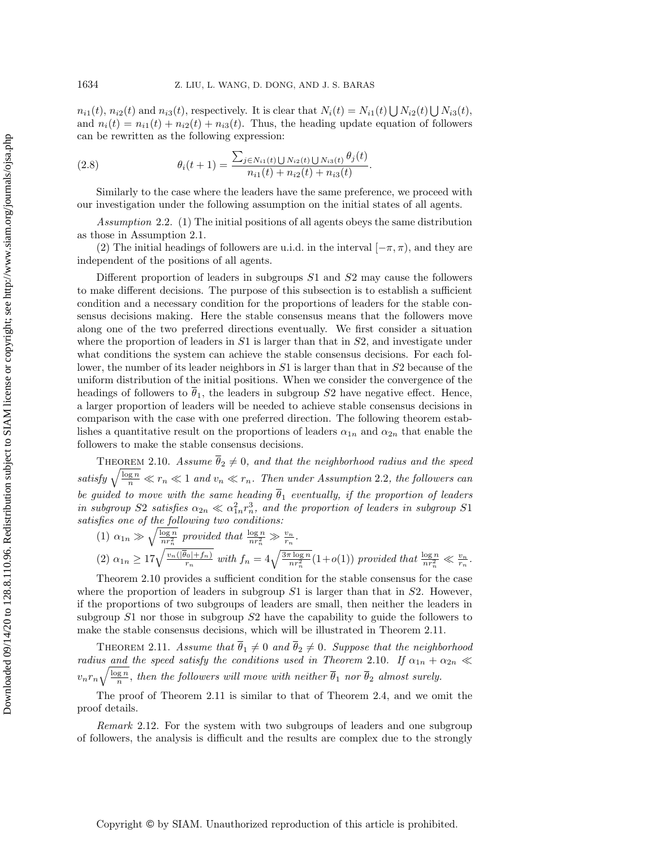$n_{i1}(t)$ ,  $n_{i2}(t)$  and  $n_{i3}(t)$ , respectively. It is clear that  $N_i(t) = N_{i1}(t) \bigcup N_{i2}(t) \bigcup N_{i3}(t)$ , and  $n_i(t) = n_{i1}(t) + n_{i2}(t) + n_{i3}(t)$ . Thus, the heading update equation of followers can be rewritten as the following expression:

<span id="page-8-3"></span>(2.8) 
$$
\theta_i(t+1) = \frac{\sum_{j \in N_{i1}(t) \bigcup N_{i2}(t) \bigcup N_{i3}(t)} \theta_j(t)}{n_{i1}(t) + n_{i2}(t) + n_{i3}(t)}.
$$

Similarly to the case where the leaders have the same preference, we proceed with our investigation under the following assumption on the initial states of all agents.

<span id="page-8-0"></span>Assumption 2.2. (1) The initial positions of all agents obeys the same distribution as those in Assumption [2.1.](#page-5-1)

(2) The initial headings of followers are u.i.d. in the interval  $[-\pi, \pi ]$ , and they are independent of the positions of all agents.

Different proportion of leaders in subgroups S1 and S2 may cause the followers to make different decisions. The purpose of this subsection is to establish a sufficient condition and a necessary condition for the proportions of leaders for the stable consensus decisions making. Here the stable consensus means that the followers move along one of the two preferred directions eventually. We first consider a situation where the proportion of leaders in  $S1$  is larger than that in  $S2$ , and investigate under what conditions the system can achieve the stable consensus decisions. For each follower, the number of its leader neighbors in  $S1$  is larger than that in  $S2$  because of the uniform distribution of the initial positions. When we consider the convergence of the headings of followers to  $\overline \theta_1$ , the leaders in subgroup S2 have negative effect. Hence, a larger proportion of leaders will be needed to achieve stable consensus decisions in comparison with the case with one preferred direction. The following theorem establishes a quantitative result on the proportions of leaders  $\alpha_{1n}$  and  $\alpha_{2n}$  that enable the followers to make the stable consensus decisions.

<span id="page-8-1"></span>THEOREM 2.10. Assume  $\overline{\theta}_2 \neq 0$ , and that the neighborhood radius and the speed satisfy  $\sqrt{\frac{\log n}{n}} \ll r_n \ll 1$  and  $v_n \ll r_n$ . Then under Assumption [2.2](#page-8-0), the followers can be guided to move with the same heading  $\overline{\theta}_1$  eventually, if the proportion of leaders in subgroup S2 satisfies  $\alpha_{2n} \ll \alpha_{1n}^2 r_n^3$ , and the proportion of leaders in subgroup S1 satisfies one of the following two conditions:

(1)  $\alpha_{1n} \gg \sqrt{\frac{\log n}{nr_n^2}}$  provided that  $\frac{\log n}{nr_n^2} \gg \frac{v_n}{r_n}$ .

(2) 
$$
\alpha_{1n} \ge 17 \sqrt{\frac{v_n(|\overline{\theta}_0|+f_n)}{r_n}}
$$
 with  $f_n = 4\sqrt{\frac{3\pi \log n}{nr_n^2}}(1+o(1))$  provided that  $\frac{\log n}{nr_n^2} \ll \frac{v_n}{r_n}$ .

Theorem [2.10](#page-8-1) provides a sufficient condition for the stable consensus for the case where the proportion of leaders in subgroup  $S1$  is larger than that in  $S2$ . However, if the proportions of two subgroups of leaders are small, then neither the leaders in subgroup  $S1$  nor those in subgroup  $S2$  have the capability to guide the followers to make the stable consensus decisions, which will be illustrated in Theorem [2.11.](#page-8-2)

<span id="page-8-2"></span>THEOREM 2.11. Assume that  $\overline{\theta}_1 \neq 0$  and  $\overline{\theta}_2 \neq 0$ . Suppose that the neighborhood radius and the speed satisfy the conditions used in Theorem [2.10](#page-8-1). If  $\alpha_{1n} + \alpha_{2n} \ll$  $v_nr_n\sqrt{\frac{\log n}{n}}$ , then the followers will move with neither  $\overline{\theta}_1$  nor  $\overline{\theta}_2$  almost surely.

The proof of Theorem [2.11](#page-8-2) is similar to that of Theorem [2.4,](#page-5-2) and we omit the proof details.

Remark 2.12. For the system with two subgroups of leaders and one subgroup of followers, the analysis is difficult and the results are complex due to the strongly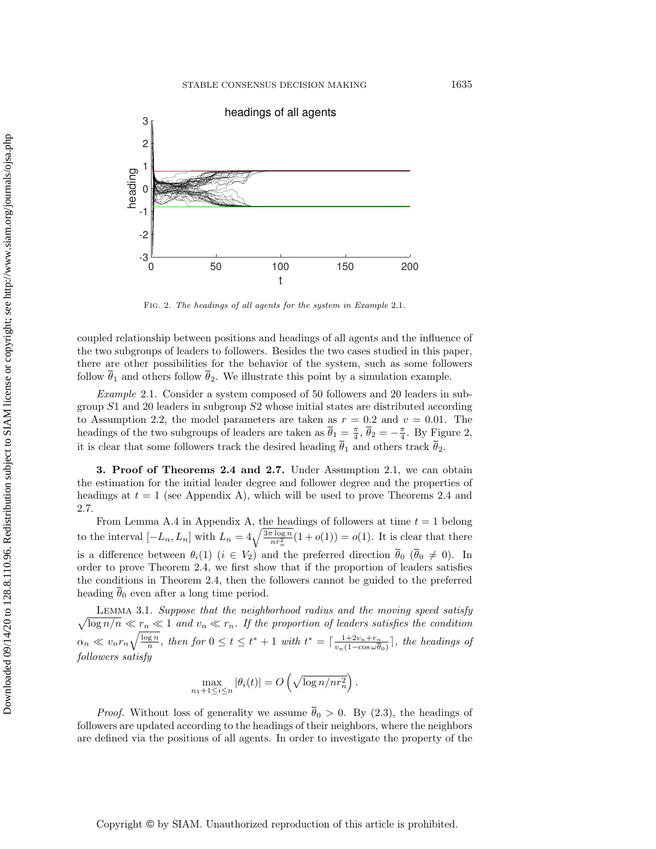<span id="page-9-2"></span>

Fig. 2. The headings of all agents for the system in Example [2.1](#page-9-1).

coupled relationship between positions and headings of all agents and the influence of the two subgroups of leaders to followers. Besides the two cases studied in this paper, there are other possibilities for the behavior of the system, such as some followers follow  $\overline \theta_1$  and others follow  $\overline \theta_2$ . We illustrate this point by a simulation example.

<span id="page-9-1"></span>Example 2.1. Consider a system composed of 50 followers and 20 leaders in subgroup S1 and 20 leaders in subgroup S2 whose initial states are distributed according to Assumption [2.2,](#page-8-0) the model parameters are taken as  $r = 0.2$  and  $v = 0.01$ . The headings of the two subgroups of leaders are taken as  $\overline{\theta}_1 = \frac{\pi}{4}$ ,  $\overline{\theta}_2 = -\frac{\pi}{4}$ . By Figure [2,](#page-9-2) it is clear that some followers track the desired heading  $\overline{\theta}_1$  and others track  $\overline{\theta}_2$ .

<span id="page-9-0"></span>**3. Proof of Theorems [2.4](#page-5-2) and [2.7.](#page-6-0)** Under Assumption [2.1,](#page-5-1) we can obtain the estimation for the initial leader degree and follower degree and the properties of headings at  $t = 1$  (see Appendix [A\)](#page-20-1), which will be used to prove Theorems [2.4](#page-5-2) and [2.7.](#page-6-0)

From Lemma [A.4](#page-21-0) in Appendix [A,](#page-20-1) the headings of followers at time  $t = 1$  belong to the interval  $[-L_n, L_n]$  with  $L_n = 4\sqrt{\frac{3\pi \log n}{nr_n^2}}(1 + o(1)) = o(1)$ . It is clear that there is a difference between  $\theta_i(1)$   $(i \in V_2)$  and the preferred direction  $\overline{\theta}_0$   $(\overline{\theta}_0 \neq 0)$ . In order to prove Theorem [2.4,](#page-5-2) we first show that if the proportion of leaders satisfies the conditions in Theorem [2.4,](#page-5-2) then the followers cannot be guided to the preferred heading  $\overline{\theta}_0$  even after a long time period.

<span id="page-9-3"></span> $\sqrt{\log n/n} \ll r_n \ll 1$  and  $v_n \ll r_n$ . If the proportion of leaders satisfies the condition Lemma 3.1. Suppose that the neighborhood radius and the moving speed satisfy  $\alpha_n \ll v_n r_n \sqrt{\frac{\log n}{n}}$ , then for  $0 \leq t \leq t^* + 1$  with  $t^* = \lceil \frac{1+2v_n+r_n}{v_n(1-\cos\omega\theta)} \rceil$  $\frac{1+2v_n+r_n}{v_n(1-\cos \omega \overline{\theta}_0)}$ , the headings of followers satisfy

$$
\max_{n_1+1\leq i\leq n}|\theta_i(t)|=O\left(\sqrt{\log n/nr_n^2}\right).
$$

*Proof.* Without loss of generality we assume  $\overline{\theta}_0 > 0$ . By [\(2.3\)](#page-4-0), the headings of followers are updated according to the headings of their neighbors, where the neighbors are defined via the positions of all agents. In order to investigate the property of the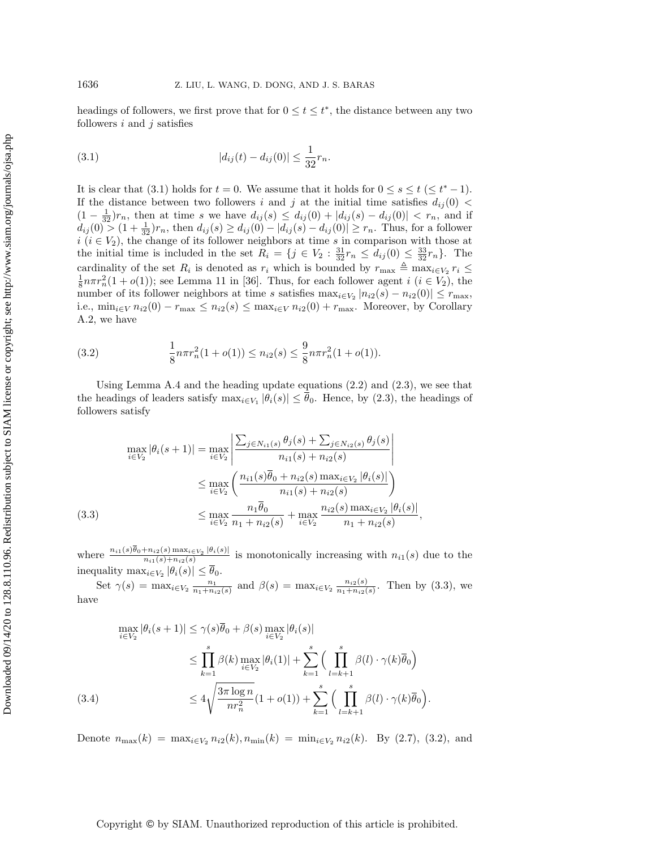headings of followers, we first prove that for  $0 \leq t \leq t^*$ , the distance between any two followers  $i$  and  $j$  satisfies

<span id="page-10-0"></span>(3.1) 
$$
|d_{ij}(t) - d_{ij}(0)| \le \frac{1}{32}r_n.
$$

It is clear that [\(3.1\)](#page-10-0) holds for  $t = 0$ . We assume that it holds for  $0 \leq s \leq t \leq t^* - 1$ . If the distance between two followers i and j at the initial time satisfies  $d_{ij}(0)$  <  $(1 - \frac{1}{32})r_n$ , then at time s we have  $d_{ij}(s) \leq d_{ij}(0) + |d_{ij}(s) - d_{ij}(0)| < r_n$ , and if  $d_{ij}(0) > (1 + \frac{1}{32})r_n$ , then  $d_{ij}(s) \geq d_{ij}(0) - |d_{ij}(s) - d_{ij}(0)| \geq r_n$ . Thus, for a follower  $i \ (i \in V_2)$ , the change of its follower neighbors at time s in comparison with those at the initial time is included in the set  $R_i = \{ j \in V_2 : \frac{31}{32} r_n \leq d_{ij} (0) \leq \frac{33}{32} r_n \}.$  The cardinality of the set  $R_i$  is denoted as  $r_i$  which is bounded by  $r_{\text{max}} \triangleq \max_{i \in V_2} r_i \leq$  $\frac{1}{8}n\pi r_n^2(1 + o(1))$ ; see Lemma 11 in [\[36\]](#page-25-8). Thus, for each follower agent  $i$   $(i \in V_2)$ , the number of its follower neighbors at time s satisfies  $\max_{i \in V_2} |n_{i2}(s) - n_{i2}(0)| \leq r_{\text{max}}$ , i.e.,  $\min_{i\in V} n_{i2}(0) - r_{\max} \leq n_{i2}(s) \leq \max_{i\in V} n_{i2}(0) + r_{\max}$ . Moreover, by Corollary [A.2,](#page-20-2) we have

<span id="page-10-2"></span>(3.2) 
$$
\frac{1}{8}n\pi r_n^2(1+o(1)) \le n_{i2}(s) \le \frac{9}{8}n\pi r_n^2(1+o(1)).
$$

Using Lemma [A.4](#page-21-0) and the heading update equations [\(2.2\)](#page-3-1) and [\(2.3\)](#page-4-0), we see that the headings of leaders satisfy  $\max_{i \in V_1} |\theta_i(s)| \leq \overline{\theta}_0$ . Hence, by [\(2.3\)](#page-4-0), the headings of followers satisfy

<span id="page-10-1"></span>
$$
\max_{i \in V_2} |\theta_i(s+1)| = \max_{i \in V_2} \left| \frac{\sum_{j \in N_{i1}(s)} \theta_j(s) + \sum_{j \in N_{i2}(s)} \theta_j(s)}{n_{i1}(s) + n_{i2}(s)} \right|
$$
  
\n
$$
\leq \max_{i \in V_2} \left( \frac{n_{i1}(s)\overline{\theta}_0 + n_{i2}(s) \max_{i \in V_2} |\theta_i(s)|}{n_{i1}(s) + n_{i2}(s)} \right)
$$
  
\n(3.3)  
\n
$$
\leq \max_{i \in V_2} \frac{n_1 \overline{\theta}_0}{n_1 + n_{i2}(s)} + \max_{i \in V_2} \frac{n_{i2}(s) \max_{i \in V_2} |\theta_i(s)|}{n_1 + n_{i2}(s)},
$$

where  $\frac{n_{i1}(s)\theta_0+n_{i2}(s) \max_{i\in V_2} |\theta_i(s)|}{n_{i2}(s)+n_{i2}(s)}$  $\frac{n_{i1}(s) \max_{i \in V_2} |v_i(s)|}{n_{i1}(s) + n_{i2}(s)}$  is monotonically increasing with  $n_{i1}(s)$  due to the inequality  $\max_{i \in V_2} |\theta_i(s)| \leq \theta_0$ .

Set  $\gamma(s) = \max_{i \in V_2} \frac{n_1}{n_1 + n_{i2}(s)}$  and  $\beta(s) = \max_{i \in V_2} \frac{n_{i2}(s)}{n_1 + n_{i2}(s)}$  $\frac{n_{i2}(s)}{n_1+n_{i2}(s)}$ . Then by [\(3.3\)](#page-10-1), we have

<span id="page-10-3"></span>
$$
\max_{i \in V_2} |\theta_i(s+1)| \leq \gamma(s)\overline{\theta}_0 + \beta(s) \max_{i \in V_2} |\theta_i(s)|
$$
  
\n
$$
\leq \prod_{k=1}^s \beta(k) \max_{i \in V_2} |\theta_i(1)| + \sum_{k=1}^s \Big( \prod_{l=k+1}^s \beta(l) \cdot \gamma(k)\overline{\theta}_0 \Big)
$$
  
\n(3.4)  
\n
$$
\leq 4\sqrt{\frac{3\pi \log n}{nr_n^2}} (1+o(1)) + \sum_{k=1}^s \Big( \prod_{l=k+1}^s \beta(l) \cdot \gamma(k)\overline{\theta}_0 \Big).
$$

Denote  $n_{\max}(k) = \max_{i\in V_2} n_{i2}(k), n_{\min}(k) = \min_{i\in V_2} n_{i2}(k)$ . By [\(2.7\)](#page-5-3), [\(3.2\)](#page-10-2), and

## Copyright © by SIAM. Unauthorized reproduction of this article is prohibited.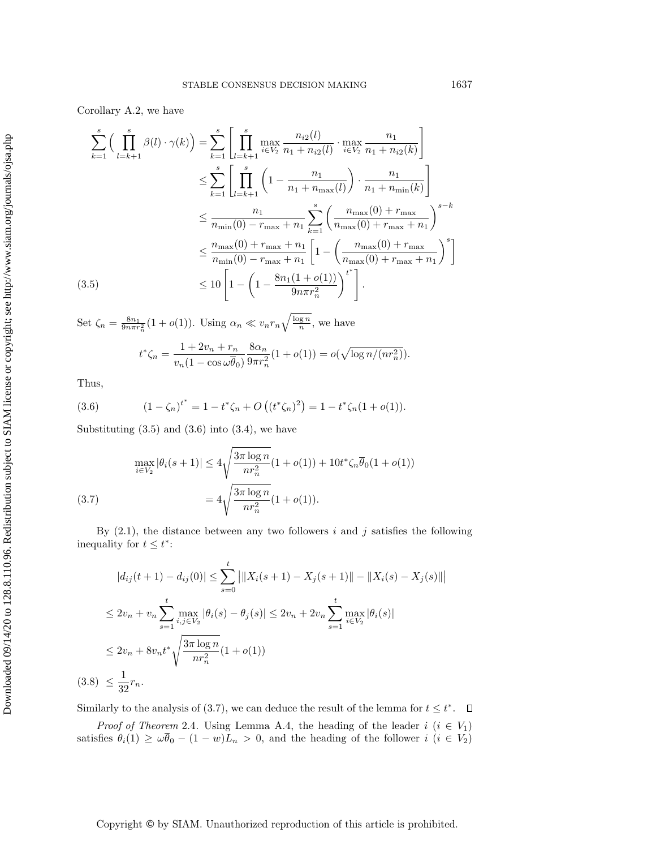Corollary [A.2,](#page-20-2) we have

<span id="page-11-0"></span>
$$
\sum_{k=1}^{s} \Big( \prod_{l=k+1}^{s} \beta(l) \cdot \gamma(k) \Big) = \sum_{k=1}^{s} \left[ \prod_{l=k+1}^{s} \max_{i \in V_2} \frac{n_{i2}(l)}{n_1 + n_{i2}(l)} \cdot \max_{i \in V_2} \frac{n_1}{n_1 + n_{i2}(k)} \right]
$$
  
\n
$$
\leq \sum_{k=1}^{s} \left[ \prod_{l=k+1}^{s} \left( 1 - \frac{n_1}{n_1 + n_{\max}(l)} \right) \cdot \frac{n_1}{n_1 + n_{\min}(k)} \right]
$$
  
\n
$$
\leq \frac{n_1}{n_{\min}(0) - r_{\max} + n_1} \sum_{k=1}^{s} \left( \frac{n_{\max}(0) + r_{\max}}{n_{\max}(0) + r_{\max} + n_1} \right)^{s-k}
$$
  
\n
$$
\leq \frac{n_{\max}(0) + r_{\max} + n_1}{n_{\min}(0) - r_{\max} + n_1} \left[ 1 - \left( \frac{n_{\max}(0) + r_{\max}}{n_{\max}(0) + r_{\max} + n_1} \right)^s \right]
$$
  
\n(3.5) 
$$
\leq 10 \left[ 1 - \left( 1 - \frac{8n_1(1 + o(1))}{9n\pi r_n^2} \right)^{t^*} \right].
$$

Set  $\zeta_n = \frac{8n_1}{9n\pi r_n^2} (1 + o(1))$ . Using  $\alpha_n \ll v_n r_n \sqrt{\frac{\log n}{n}}$ , we have

<span id="page-11-1"></span>
$$
t^*\zeta_n = \frac{1+2v_n + r_n}{v_n(1-\cos\omega\overline{\theta}_0)} \frac{8\alpha_n}{9\pi r_n^2} (1+o(1)) = o(\sqrt{\log n/(nr_n^2)}).
$$

Thus,

(3.6) 
$$
(1 - \zeta_n)^{t^*} = 1 - t^* \zeta_n + O\left((t^* \zeta_n)^2\right) = 1 - t^* \zeta_n (1 + o(1)).
$$

Substituting  $(3.5)$  and  $(3.6)$  into  $(3.4)$ , we have

<span id="page-11-2"></span>(3.7) 
$$
\max_{i \in V_2} |\theta_i(s+1)| \le 4\sqrt{\frac{3\pi \log n}{nr_n^2}} (1 + o(1)) + 10t^* \zeta_n \overline{\theta}_0 (1 + o(1))
$$

$$
= 4\sqrt{\frac{3\pi \log n}{nr_n^2}} (1 + o(1)).
$$

By  $(2.1)$ , the distance between any two followers i and j satisfies the following inequality for  $t \leq t^*$ :

$$
|d_{ij}(t+1) - d_{ij}(0)| \le \sum_{s=0}^t \left| \|X_i(s+1) - X_j(s+1)\| - \|X_i(s) - X_j(s)\| \right|
$$
  

$$
\le 2v_n + v_n \sum_{s=1}^t \max_{i,j \in V_2} |\theta_i(s) - \theta_j(s)| \le 2v_n + 2v_n \sum_{s=1}^t \max_{i \in V_2} |\theta_i(s)|
$$
  

$$
\le 2v_n + 8v_n t^* \sqrt{\frac{3\pi \log n}{nr_n^2}} (1 + o(1))
$$
  
(3.8)  $\le \frac{1}{32}r_n$ .

Similarly to the analysis of [\(3.7\)](#page-11-2), we can deduce the result of the lemma for  $t \leq t^*$ .

*Proof of Theorem* [2.4](#page-5-2). Using Lemma [A.4,](#page-21-0) the heading of the leader  $i$  ( $i \in V_1$ ) satisfies  $\theta_i(1) \geq \omega \overline{\theta}_0 - (1 - w)L_n > 0$ , and the heading of the follower  $i$  ( $i \in V_2$ )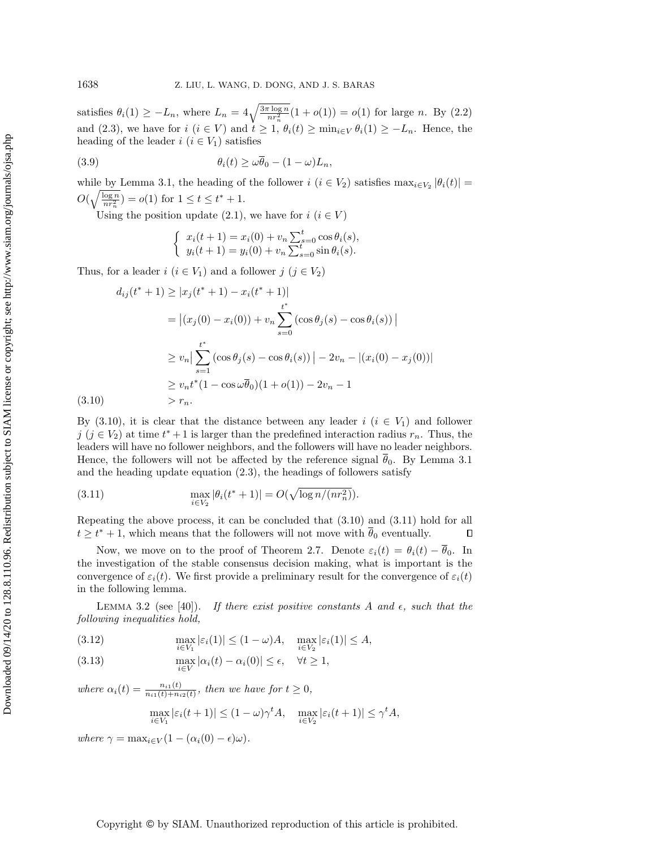satisfies  $\theta_i(1) \geq -L_n$ , where  $L_n = 4\sqrt{\frac{3\pi \log n}{nr_n^2}} (1 + o(1)) = o(1)$  for large n. By [\(2.2\)](#page-3-1) and [\(2.3\)](#page-4-0), we have for  $i \ (i \in V)$  and  $t \geq 1, \ \theta_i(t) \geq \min_{i \in V} \theta_i(1) \geq -L_n$ . Hence, the heading of the leader  $i$   $(i \in V_1)$  satisfies

(3.9) 
$$
\theta_i(t) \geq \omega \overline{\theta}_0 - (1 - \omega)L_n,
$$

while by Lemma [3.1,](#page-9-3) the heading of the follower  $i \ (i \in V_2)$  satisfies  $\max_{i \in V_2} |\theta_i(t)| =$  $O(\sqrt{\frac{\log n}{nr_n^2}}) = o(1)$  for  $1 \leq t \leq t^* + 1$ .

Using the position update [\(2.1\)](#page-3-2), we have for  $i$   $(i \in V )$ 

$$
\begin{cases}\n x_i(t+1) = x_i(0) + v_n \sum_{s=0}^t \cos \theta_i(s), \\
y_i(t+1) = y_i(0) + v_n \sum_{s=0}^t \sin \theta_i(s).\n\end{cases}
$$

Thus, for a leader  $i$   $(i \in V_1)$  and a follower  $j$   $(j \in V_2)$ 

<span id="page-12-0"></span>
$$
d_{ij}(t^{*} + 1) \ge |x_{j}(t^{*} + 1) - x_{i}(t^{*} + 1)|
$$
  
\n
$$
= |(x_{j}(0) - x_{i}(0)) + v_{n} \sum_{s=0}^{t^{*}} (\cos \theta_{j}(s) - \cos \theta_{i}(s))|
$$
  
\n
$$
\ge v_{n} \Big| \sum_{s=1}^{t^{*}} (\cos \theta_{j}(s) - \cos \theta_{i}(s)) - 2v_{n} - |(x_{i}(0) - x_{j}(0))|
$$
  
\n
$$
\ge v_{n} t^{*} (1 - \cos \omega \overline{\theta}_{0}) (1 + o(1)) - 2v_{n} - 1
$$
  
\n
$$
> r_{n}.
$$

 $(3.10)$ 

By [\(3.10\)](#page-12-0), it is clear that the distance between any leader  $i$  ( $i \in V_1$ ) and follower  $j \ (j \in V_2)$  at time  $t^* + 1$  is larger than the predefined interaction radius  $r_n$ . Thus, the leaders will have no follower neighbors, and the followers will have no leader neighbors. Hence, the followers will not be affected by the reference signal  $\overline{\theta}_0$ . By Lemma [3.1](#page-9-3) and the heading update equation [\(2.3\)](#page-4-0), the headings of followers satisfy

<span id="page-12-1"></span>(3.11) 
$$
\max_{i \in V_2} |\theta_i(t^* + 1)| = O(\sqrt{\log n/(nr_n^2)}).
$$

Repeating the above process, it can be concluded that [\(3.10\)](#page-12-0) and [\(3.11\)](#page-12-1) hold for all  $t \geq t^* + 1$ , which means that the followers will not move with  $\overline{\theta}_0$  eventually.  $\Box$ 

Now, we move on to the proof of Theorem [2.7.](#page-6-0) Denote  $\varepsilon_i(t) = \theta_i(t) - \overline{\theta}_0$ . In the investigation of the stable consensus decision making, what is important is the convergence of  $\varepsilon_i(t)$ . We first provide a preliminary result for the convergence of  $\varepsilon_i(t)$ in the following lemma.

<span id="page-12-2"></span>LEMMA 3.2 (see [\[40\]](#page-25-12)). If there exist positive constants A and  $\epsilon$ , such that the following inequalities hold,

(3.12) 
$$
\max_{i\in V_1} |\varepsilon_i(1)| \le (1-\omega)A, \quad \max_{i\in V_2} |\varepsilon_i(1)| \le A,
$$

(3.13) 
$$
\max_{i \in V} |\alpha_i(t) - \alpha_i(0)| \le \epsilon, \quad \forall t \ge 1,
$$

where  $\alpha_i(t) = \frac{n_{i1}(t)}{n_{i1}(t)+n_{i2}(t)}$ , then we have for  $t \geq 0$ ,

$$
\max_{i \in V_1} |\varepsilon_i(t+1)| \le (1-\omega)\gamma^t A, \quad \max_{i \in V_2} |\varepsilon_i(t+1)| \le \gamma^t A,
$$

where  $\gamma = \max_{i \in V} (1 - (\alpha_i(0) - \epsilon) \omega ).$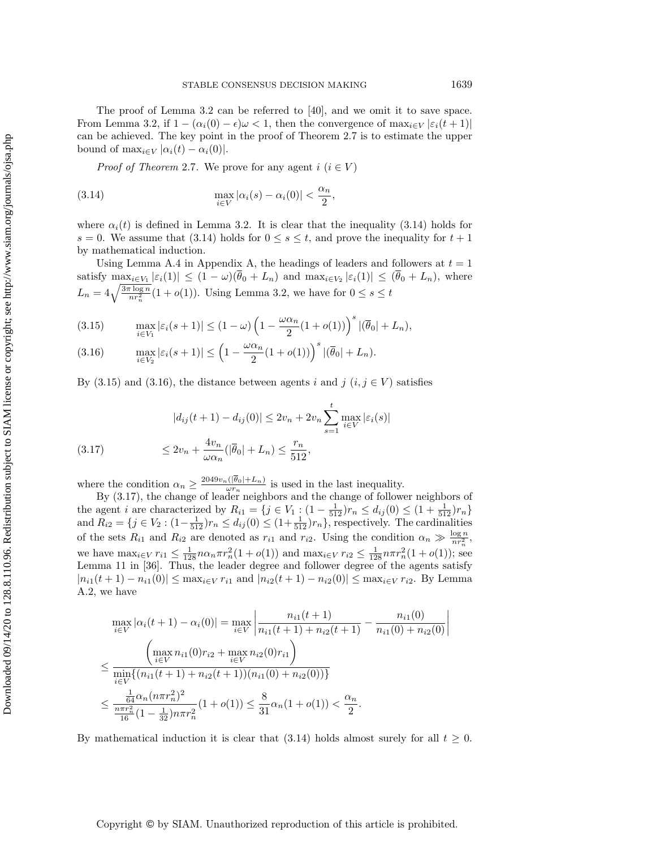The proof of Lemma [3.2](#page-12-2) can be referred to [\[40\]](#page-25-12), and we omit it to save space. From Lemma [3.2,](#page-12-2) if  $1 - (\alpha_i(0) - \epsilon) \omega < 1$ , then the convergence of  $\max_{i \in V} |\varepsilon_i(t + 1)|$ can be achieved. The key point in the proof of Theorem [2.7](#page-6-0) is to estimate the upper bound of  $\max_{i \in V} | \alpha_i(t) - \alpha_i(0)|$ .

<span id="page-13-0"></span>*Proof of Theorem* [2.7](#page-6-0). We prove for any agent  $i \ (i \in V )$ 

(3.14) 
$$
\max_{i \in V} |\alpha_i(s) - \alpha_i(0)| < \frac{\alpha_n}{2},
$$

where  $\alpha_i(t)$  is defined in Lemma [3.2.](#page-12-2) It is clear that the inequality [\(3.14\)](#page-13-0) holds for  $s = 0$ . We assume that [\(3.14\)](#page-13-0) holds for  $0 \leq s \leq t$ , and prove the inequality for  $t + 1$ by mathematical induction.

Using Lemma [A.4](#page-21-0) in Appendix [A,](#page-20-1) the headings of leaders and followers at  $t = 1$ satisfy  $\max_{i \in V_1} |\varepsilon_i(1)| \leq (1 - \omega)(\overline{\theta}_0 + L_n)$  and  $\max_{i \in V_2} |\varepsilon_i(1)| \leq (\overline{\theta}_0 + L_n)$ , where  $L_n = 4\sqrt{\frac{3\pi \log n}{nr_n^2}} (1 + o(1)).$  Using Lemma [3.2,](#page-12-2) we have for  $0 \leq s \leq t$ 

<span id="page-13-1"></span>(3.15) 
$$
\max_{i\in V_1} |\varepsilon_i(s+1)| \le (1-\omega) \left(1-\frac{\omega\alpha_n}{2}(1+o(1))\right)^s |(\overline{\theta}_0|+L_n),
$$

(3.16) 
$$
\max_{i\in V_2} |\varepsilon_i(s+1)| \le \left(1 - \frac{\omega\alpha_n}{2}(1+o(1))\right)^s |(\overline{\theta}_0|+L_n).
$$

By [\(3.15\)](#page-13-1) and [\(3.16\)](#page-13-1), the distance between agents i and j  $(i, j \in V )$  satisfies

<span id="page-13-2"></span>(3.17) 
$$
|d_{ij}(t+1) - d_{ij}(0)| \le 2v_n + 2v_n \sum_{s=1}^t \max_{i \in V} |\varepsilon_i(s)|
$$

$$
\le 2v_n + \frac{4v_n}{\omega \alpha_n} (|\overline{\theta}_0| + L_n) \le \frac{r_n}{512},
$$

where the condition  $\alpha_n \geq \frac{2049v_n(|\theta_0| + L_n)}{\omega r_n}$  $\frac{\omega r_n}{\omega r_n}$  is used in the last inequality.

By [\(3.17\)](#page-13-2), the change of leader neighbors and the change of follower neighbors of the agent *i* are characterized by  $R_{i1} = \{ j \in V_1 : (1 - \frac{1}{512})r_n \leq d_{ij}(0) \leq (1 + \frac{1}{512})r_n \}$ and  $R_{i2} = \{ j \in V_2 : (1 - \frac{1}{512})r_n \leq d_{ij} (0) \leq (1 + \frac{1}{512})r_n \}$ , respectively. The cardinalities of the sets  $R_{i1}$  and  $R_{i2}$  are denoted as  $r_{i1}$  and  $r_{i2}$ . Using the condition  $\alpha_n \gg \frac{\log n}{nr_n^2}$ , we have  $\max_{i\in V} r_{i1} \leq \frac{1}{128}n\alpha_n\pi r_n^2(1 + o(1))$  and  $\max_{i\in V} r_{i2} \leq \frac{1}{128}n\pi r_n^2(1 + o(1))$ ; see Lemma 11 in [\[36\]](#page-25-8). Thus, the leader degree and follower degree of the agents satisfy  $|n_{i1}(t + 1) - n_{i1}(0)| \leq \max_{i \in V} r_{i1}$  and  $| n_{i2}(t + 1) - n_{i2}(0)| \leq \max_{i \in V} r_{i2}$ . By Lemma [A.2,](#page-20-2) we have

$$
\max_{i \in V} |\alpha_i(t+1) - \alpha_i(0)| = \max_{i \in V} \left| \frac{n_{i1}(t+1)}{n_{i1}(t+1) + n_{i2}(t+1)} - \frac{n_{i1}(0)}{n_{i1}(0) + n_{i2}(0)} \right|
$$
  
\n
$$
\leq \frac{\left( \max_{i \in V} n_{i1}(0)r_{i2} + \max_{i \in V} n_{i2}(0)r_{i1} \right)}{\min_{i \in V} \{(n_{i1}(t+1) + n_{i2}(t+1))(n_{i1}(0) + n_{i2}(0))\}}
$$
  
\n
$$
\leq \frac{\frac{1}{64}\alpha_n (n\pi r_n^2)^2}{\frac{n\pi r_n^2}{16}(1 - \frac{1}{32})n\pi r_n^2} (1 + o(1)) \leq \frac{8}{31}\alpha_n (1 + o(1)) < \frac{\alpha_n}{2}.
$$

By mathematical induction it is clear that [\(3.14\)](#page-13-0) holds almost surely for all  $t \geq 0$ .

#### Copyright © by SIAM. Unauthorized reproduction of this article is prohibited.

 $\vert$  $\vert$  $\vert$  $\vert$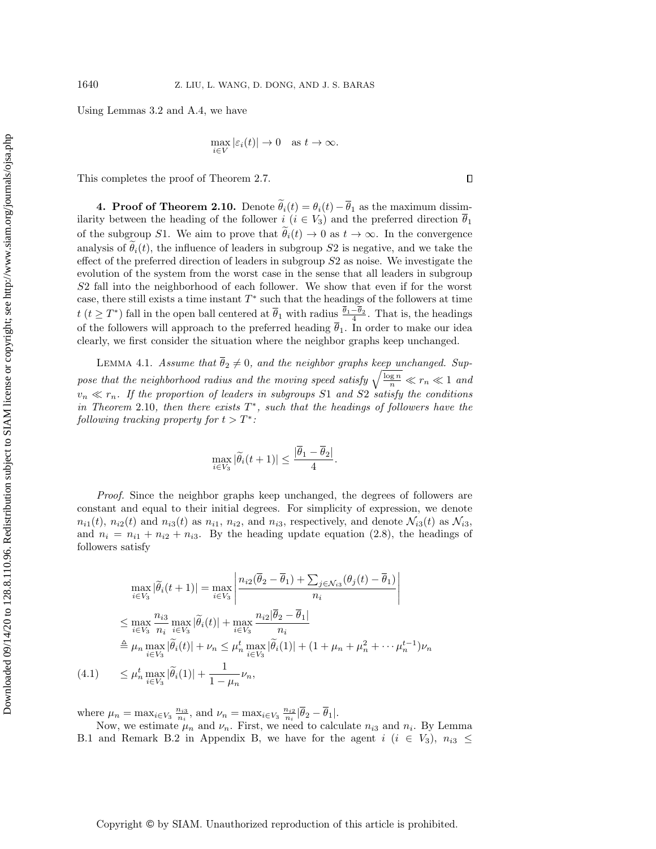Downloaded 09/14/20 to 128.8.110.96. Redistribution subject to SIAM license or copyright; see http://www.siam.org/journals/ojsa.php Downloaded 09/14/20 to 128.8.110.96. Redistribution subject to SIAM license or copyright; see http://www.siam.org/journals/ojsa.php Using Lemmas [3.2](#page-12-2) and [A.4,](#page-21-0) we have

$$
\max_{i \in V} |\varepsilon_i(t)| \to 0 \quad \text{as } t \to \infty.
$$

This completes the proof of Theorem [2.7.](#page-6-0)

<span id="page-14-0"></span>4. Proof of Theorem [2.10.](#page-8-1) Denote  $\tilde \theta_i(t) = \theta_i(t) - \overline \theta_1$  as the maximum dissimilarity between the heading of the follower  $i$  ( $i \in V_3$ ) and the preferred direction  $\overline \theta_1$ of the subgroup S1. We aim to prove that  $\theta_i(t) \rightarrow 0$  as  $t \rightarrow \infty$ . In the convergence analysis of  $\theta_i(t)$ , the influence of leaders in subgroup S2 is negative, and we take the effect of the preferred direction of leaders in subgroup S2 as noise. We investigate the evolution of the system from the worst case in the sense that all leaders in subgroup S2 fall into the neighborhood of each follower. We show that even if for the worst case, there still exists a time instant  $T^*$  such that the headings of the followers at time  $t$   $(t \geq T^*)$  fall in the open ball centered at  $\overline{\theta}_1$  with radius  $\frac{\theta_1 - \theta_2}{4}$ . That is, the headings of the followers will approach to the preferred heading  $\overline{\theta}_1$ . In order to make our idea clearly, we first consider the situation where the neighbor graphs keep unchanged.

<span id="page-14-2"></span>LEMMA 4.1. Assume that  $\overline{\theta}_2 \neq 0$ , and the neighbor graphs keep unchanged. Suppose that the neighborhood radius and the moving speed satisfy  $\sqrt{\frac{\log n}{n}} \ll r_n \ll 1$  and  $v_n \ll r_n$ . If the proportion of leaders in subgroups S1 and S2 satisfy the conditions in Theorem [2.10](#page-8-1), then there exists  $T^*$ , such that the headings of followers have the following tracking property for  $t > T^*$ :

$$
\max_{i \in V_3} |\widetilde{\theta}_i(t+1)| \le \frac{|\overline{\theta}_1 - \overline{\theta}_2|}{4}.
$$

Proof. Since the neighbor graphs keep unchanged, the degrees of followers are constant and equal to their initial degrees. For simplicity of expression, we denote  $n_{i1}(t)$ ,  $n_{i2}(t)$  and  $n_{i3}(t)$  as  $n_{i1}$ ,  $n_{i2}$ , and  $n_{i3}$ , respectively, and denote  $\mathcal{N}_{i3}(t)$  as  $\mathcal{N}_{i3}$ , and  $n_i = n_{i1} + n_{i2} + n_{i3}$ . By the heading update equation [\(2.8\)](#page-8-3), the headings of followers satisfy

<span id="page-14-1"></span>
$$
\max_{i \in V_3} |\widetilde{\theta}_i(t+1)| = \max_{i \in V_3} \left| \frac{n_{i2}(\overline{\theta}_2 - \overline{\theta}_1) + \sum_{j \in \mathcal{N}_{i3}} (\theta_j(t) - \overline{\theta}_1)}{n_i} \right|
$$
  
\n
$$
\leq \max_{i \in V_3} \frac{n_{i3}}{n_i} \max_{i \in V_3} |\widetilde{\theta}_i(t)| + \max_{i \in V_3} \frac{n_{i2}|\overline{\theta}_2 - \overline{\theta}_1|}{n_i}
$$
  
\n
$$
\stackrel{\triangle}{=} \mu_n \max_{i \in V_3} |\widetilde{\theta}_i(t)| + \nu_n \leq \mu_n^t \max_{i \in V_3} |\widetilde{\theta}_i(1)| + (1 + \mu_n + \mu_n^2 + \cdots + \mu_n^{t-1})\nu_n
$$
  
\n(4.1) 
$$
\leq \mu_n^t \max_{i \in V_3} |\widetilde{\theta}_i(1)| + \frac{1}{1 - \mu_n} \nu_n,
$$

where  $\mu_n = \max_{i \in V_3} \frac{n_{i3}}{n_i}$ , and  $\nu_n = \max_{i \in V_3} \frac{n_{i2}}{n_i} |\overline{\theta}_2 - \overline{\theta}_1|$ .

Now, we estimate  $\mu_n$  and  $\nu_n$ . First, we need to calculate  $n_{i3}$  and  $n_i$ . By Lemma [B.1](#page-22-0) and Remark [B.2](#page-23-0) in Appendix [B,](#page-22-1) we have for the agent  $i$  ( $i \in V_3$ ),  $n_{i3} \leq$ 

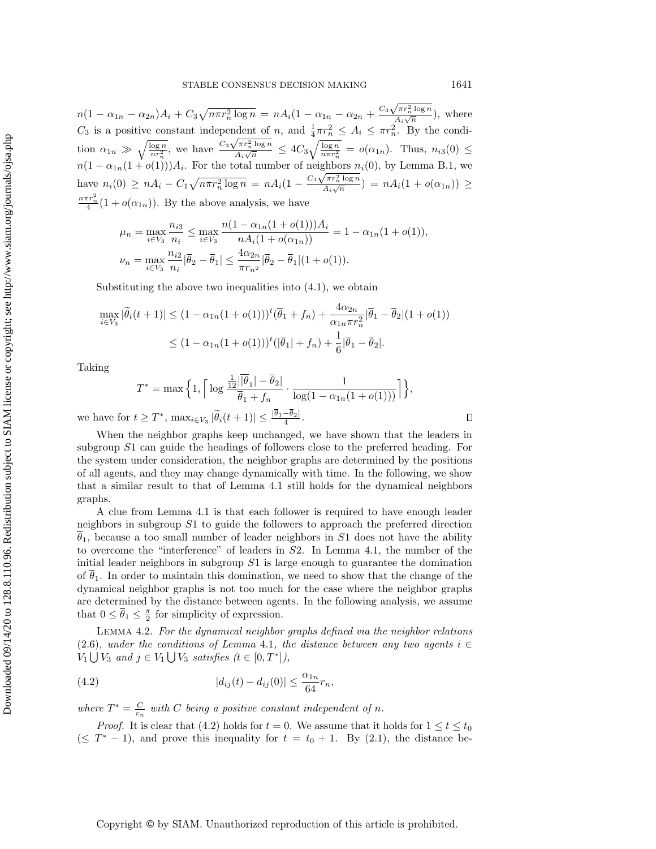$n(1 - \alpha_{1n} - \alpha_{2n})A_i + C_3\sqrt{n\pi r_n^2 \log n} = nA_i(1 - \alpha_{1n} - \alpha_{2n} + \frac{C_3\sqrt{\pi r_n^2 \log n}}{A_i\sqrt{n}})$  $\frac{\sqrt{n} \cdot n \log n}{A_i \sqrt{n}}$ , where  $C_3$  is a positive constant independent of n, and  $\frac{1}{4}\pi r_n^2 \leq A_i \leq \pi r_n^2$ . By the condition  $\alpha_{1n} \gg \sqrt{\frac{\log n}{nr_n^2}}$ , we have  $\frac{C_3\sqrt{\pi r_n^2 \log n}}{A_i\sqrt{n}}$  $\frac{\sqrt{\pi r_n^2 \log n}}{A_i \sqrt{n}} \leq 4C_3 \sqrt{\frac{\log n}{n \pi r_n^2}} = o(\alpha_{1n}).$  Thus,  $n_{i3}(0) \leq$  $n(1 - \alpha_{1n}(1 + o(1)))A_i$ . For the total number of neighbors  $n_i(0)$ , by Lemma [B.1,](#page-22-0) we have  $n_i(0) \geq nA_i - C_1 \sqrt{n\pi r_n^2 \log n} = nA_i(1 - \frac{C_1 \sqrt{\pi r_n^2 \log n}}{A_i \sqrt{n}})$  $\frac{\sum_{i=1}^{n} \log n}{A_i \sqrt{n}}$  =  $nA_i(1 + o(\alpha_{1n})) \geq$  $\frac{n\pi r_n^2}{4}(1 + o(\alpha_{1n}))$ . By the above analysis, we have

$$
\mu_n = \max_{i \in V_3} \frac{n_{i3}}{n_i} \le \max_{i \in V_3} \frac{n(1 - \alpha_{1n}(1 + o(1)))A_i}{nA_i(1 + o(\alpha_{1n}))} = 1 - \alpha_{1n}(1 + o(1)),
$$
  

$$
\nu_n = \max_{i \in V_3} \frac{n_{i2}}{n_i} |\overline{\theta}_2 - \overline{\theta}_1| \le \frac{4\alpha_{2n}}{\pi r_n^2} |\overline{\theta}_2 - \overline{\theta}_1|(1 + o(1)).
$$

Substituting the above two inequalities into  $(4.1)$ , we obtain

$$
\max_{i \in V_3} |\tilde{\theta}_i(t+1)| \le (1 - \alpha_{1n}(1 + o(1)))^t (\overline{\theta}_1 + f_n) + \frac{4\alpha_{2n}}{\alpha_{1n}\pi r_n^2} |\overline{\theta}_1 - \overline{\theta}_2|(1 + o(1))
$$
  

$$
\le (1 - \alpha_{1n}(1 + o(1)))^t (|\overline{\theta}_1| + f_n) + \frac{1}{6}|\overline{\theta}_1 - \overline{\theta}_2|.
$$

Taking

$$
T^* = \max\Big\{1, \Big\lceil \log \frac{\frac{1}{12}|\overline{\theta}_1| - \overline{\theta}_2|}{\overline{\theta}_1 + f_n} \cdot \frac{1}{\log(1 - \alpha_{1n}(1 + o(1)))} \Big\rceil \Big\},\
$$

we have for  $t \geq T^*$ ,  $\max_{i \in V_3} |\widetilde{\theta}_i(t + 1)| \leq \frac{|\theta_1 - \theta_2|}{4}$ .

When the neighbor graphs keep unchanged, we have shown that the leaders in subgroup S1 can guide the headings of followers close to the preferred heading. For the system under consideration, the neighbor graphs are determined by the positions of all agents, and they may change dynamically with time. In the following, we show that a similar result to that of Lemma [4.1](#page-14-2) still holds for the dynamical neighbors graphs.

A clue from Lemma [4.1](#page-14-2) is that each follower is required to have enough leader neighbors in subgroup S1 to guide the followers to approach the preferred direction  $\theta_1$ , because a too small number of leader neighbors in S1 does not have the ability to overcome the "interference" of leaders in  $S2$ . In Lemma [4.1,](#page-14-2) the number of the initial leader neighbors in subgroup  $S1$  is large enough to guarantee the domination of  $\theta_1$ . In order to maintain this domination, we need to show that the change of the dynamical neighbor graphs is not too much for the case where the neighbor graphs are determined by the distance between agents. In the following analysis, we assume that  $0 \leq \overline{\theta}_1 \leq \frac{\pi}{2}$  for simplicity of expression.

<span id="page-15-1"></span>Lemma 4.2. For the dynamical neighbor graphs defined via the neighbor relations [\(2.6\)](#page-4-2), under the conditions of Lemma [4.1](#page-14-2), the distance between any two agents  $i \in$  $V_1 \bigcup V_3$  and  $j \in V_1 \bigcup V_3$  satisfies  $(t \in [0, T^*]),$ 

<span id="page-15-0"></span>(4.2) 
$$
|d_{ij}(t) - d_{ij}(0)| \leq \frac{\alpha_{1n}}{64} r_n,
$$

where  $T^* = \frac{C}{v_n}$  with C being a positive constant independent of n.

*Proof.* It is clear that [\(4.2\)](#page-15-0) holds for  $t = 0$ . We assume that it holds for  $1 \leq t \leq t_0$  $(\leq T^* - 1)$ , and prove this inequality for  $t = t_0 + 1$ . By [\(2.1\)](#page-3-2), the distance be-

 $\Box$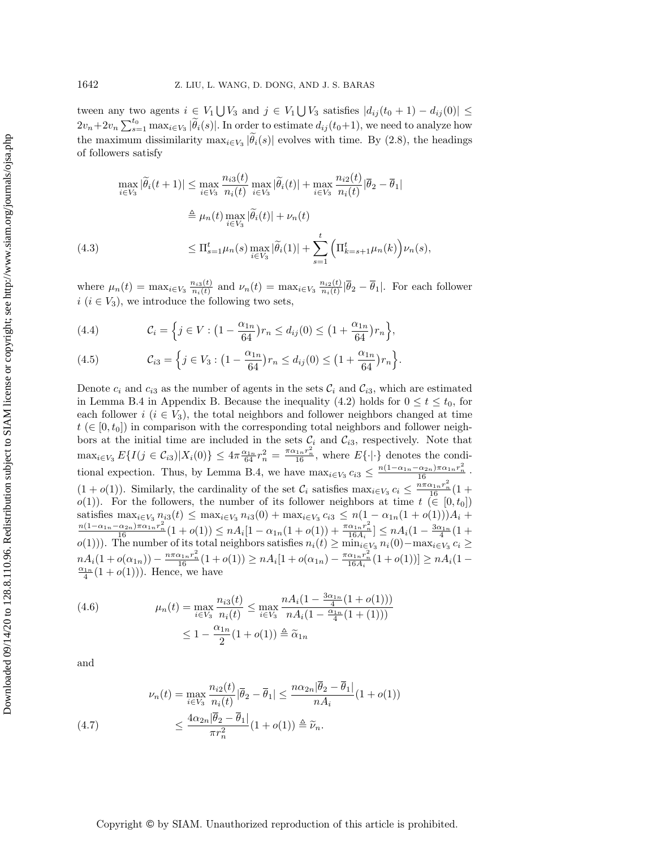tween any two agents  $i \in V_1 \bigcup V_3$  and  $j \in V_1 \bigcup V_3$  satisfies  $| d_{ij}(t_0 + 1) - d_{ij}(0) | \leq$  $2v_n+2v_n\sum_{s=1}^{t_0} \max_{i\in V_3} |\tilde{\theta}_i(s)|$ . In order to estimate  $d_{ij}(t_0+1)$ , we need to analyze how the maximum dissimilarity  $\max_{i \in V_3} |\theta_i(s)|$  evolves with time. By [\(2.8\)](#page-8-3), the headings of followers satisfy

<span id="page-16-2"></span>
$$
\max_{i \in V_3} |\widetilde{\theta}_i(t+1)| \le \max_{i \in V_3} \frac{n_{i3}(t)}{n_i(t)} \max_{i \in V_3} |\widetilde{\theta}_i(t)| + \max_{i \in V_3} \frac{n_{i2}(t)}{n_i(t)} |\overline{\theta}_2 - \overline{\theta}_1|
$$
  
\n
$$
\stackrel{\triangle}{=} \mu_n(t) \max_{i \in V_3} |\widetilde{\theta}_i(t)| + \nu_n(t)
$$
  
\n(4.3) 
$$
\le \Pi_{s=1}^t \mu_n(s) \max_{i \in V_3} |\widetilde{\theta}_i(1)| + \sum_{s=1}^t \left( \Pi_{k=s+1}^t \mu_n(k) \right) \nu_n(s),
$$

where  $\mu_n(t) = \max_{i \in V_3} \frac{n_{i3}(t)}{n_i(t)}$  $\frac{n_{i3}(t)}{n_{i}(t)}$  and  $\nu_n(t) = \max_{i \in V_3} \frac{n_{i2}(t)}{n_{i}(t)}$  $\frac{n_{i2}(t)}{n_i(t)} | \theta_2 - \theta_1 |$ . For each follower  $i \ (i \in V_3)$ , we introduce the following two sets,

<span id="page-16-3"></span>(4.4) 
$$
\mathcal{C}_i = \left\{ j \in V : \left( 1 - \frac{\alpha_{1n}}{64} \right) r_n \le d_{ij}(0) \le \left( 1 + \frac{\alpha_{1n}}{64} \right) r_n \right\},
$$

(4.5) 
$$
\mathcal{C}_{i3} = \left\{ j \in V_3 : \left( 1 - \frac{\alpha_{1n}}{64} \right) r_n \le d_{ij}(0) \le \left( 1 + \frac{\alpha_{1n}}{64} \right) r_n \right\}.
$$

Denote  $c_i$  and  $c_{i3}$  as the number of agents in the sets  $\mathcal{C}_i$  and  $\mathcal{C}_{i3}$ , which are estimated in Lemma [B.4](#page-23-1) in Appendix [B.](#page-22-1) Because the inequality [\(4.2\)](#page-15-0) holds for  $0 \leq t \leq t_0$ , for each follower i  $(i \in V_3)$ , the total neighbors and follower neighbors changed at time  $t \in [0, t_0]$  in comparison with the corresponding total neighbors and follower neighbors at the initial time are included in the sets  $\mathcal{C}_i$  and  $\mathcal{C}_{i3}$ , respectively. Note that  $\max_{i \in V_3} E\{I(j \in C_{i3}) | X_i(0)\} \leq 4\pi \frac{\alpha_{1n}}{64} r_n^2 = \frac{\pi \alpha_{1n} r_n^2}{16}$ , where  $E\{\cdot | \cdot\}$  denotes the condi-tional expection. Thus, by Lemma [B.4,](#page-23-1) we have  $\max_{i \in V_3} c_{i3} \leq \frac{n(1 - \alpha_{1n} - \alpha_{2n})\pi \alpha_{1n} r_n^2}{16}$ .  $(1 + o(1))$ . Similarly, the cardinality of the set  $\mathcal{C}_i$  satisfies  $\max_{i \in V_3} c_i \leq \frac{n \pi \alpha_{1n} r_n^2}{16} (1 + o(1))$  $o(1)$ . For the followers, the number of its follower neighbors at time  $t \in [0, t_0]$ satisfies  $\max_{i \in V_3} n_{i3}(t) \leq \max_{i \in V_3} n_{i3}(0) + \max_{i \in V_3} c_{i3} \leq n(1 - \alpha_{1n}(1 + o(1)))A_i +$  $\frac{n(1 - \alpha_{1n} - \alpha_{2n})\pi \alpha_{1n}r_n^2}{16}(1 + o(1)) \leq nA_i[1 - \alpha_{1n}(1 + o(1)) + \frac{\pi \alpha_{1n}r_n^2}{16A_i}] \leq nA_i(1 - \frac{3\alpha_{1n}}{4}(1 + o(1)))$  $o(1))$ ). The number of its total neighbors satisfies  $n_i(t) \geq \min_{i \in V_3} n_i(0) - \max_{i \in V_3} c_i \geq$  $nA_i(1 + o(\alpha_{1n})) - \frac{n\pi \alpha_{1n}r_n^2}{16}(1 + o(1)) \geq nA_i[1 + o(\alpha_{1n}) - \frac{\pi \alpha_{1n}r_n^2}{16A_i}(1 + o(1))] \geq nA_i(1 \frac{\alpha_{1n}}{4}(1 + o(1)))$ . Hence, we have

<span id="page-16-0"></span>(4.6) 
$$
\mu_n(t) = \max_{i \in V_3} \frac{n_{i3}(t)}{n_i(t)} \le \max_{i \in V_3} \frac{n A_i (1 - \frac{3\alpha_{1n}}{4} (1 + o(1)))}{n A_i (1 - \frac{\alpha_{1n}}{4} (1 + (1)))}
$$

$$
\le 1 - \frac{\alpha_{1n}}{2} (1 + o(1)) \triangleq \widetilde{\alpha}_{1n}
$$

and

<span id="page-16-1"></span>(4.7) 
$$
\nu_n(t) = \max_{i \in V_3} \frac{n_{i2}(t)}{n_i(t)} |\overline{\theta}_2 - \overline{\theta}_1| \le \frac{n \alpha_{2n} |\overline{\theta}_2 - \overline{\theta}_1|}{n A_i} (1 + o(1))
$$

$$
\le \frac{4\alpha_{2n} |\overline{\theta}_2 - \overline{\theta}_1|}{\pi r_n^2} (1 + o(1)) \triangleq \widetilde{\nu}_n.
$$

### Copyright © by SIAM. Unauthorized reproduction of this article is prohibited.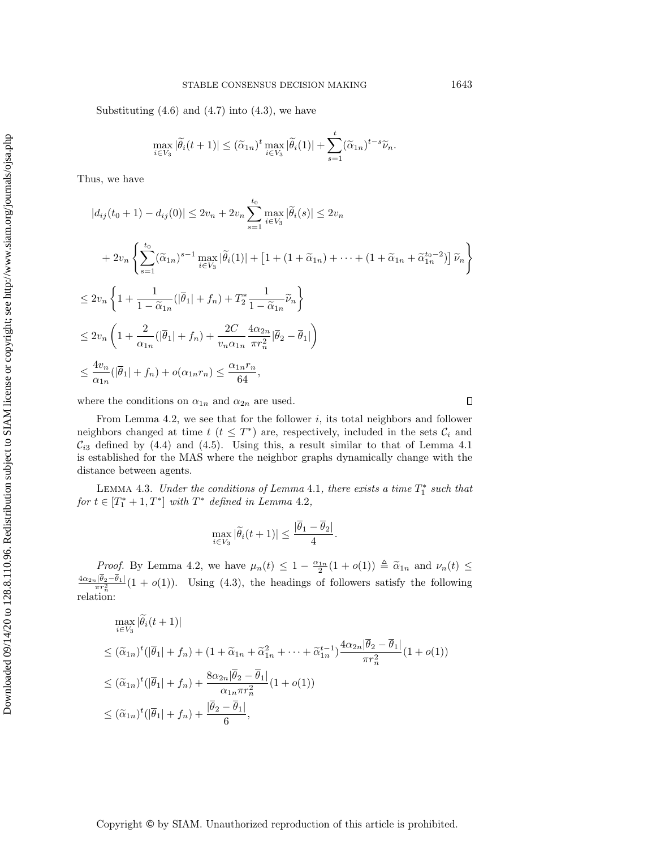Substituting  $(4.6)$  and  $(4.7)$  into  $(4.3)$ , we have

$$
\max_{i \in V_3} |\widetilde{\theta}_i(t+1)| \leq (\widetilde{\alpha}_{1n})^t \max_{i \in V_3} |\widetilde{\theta}_i(1)| + \sum_{s=1}^t (\widetilde{\alpha}_{1n})^{t-s} \widetilde{\nu}_n.
$$

Thus, we have

$$
|d_{ij}(t_0+1) - d_{ij}(0)| \le 2v_n + 2v_n \sum_{s=1}^{t_0} \max_{i \in V_3} |\tilde{\theta}_i(s)| \le 2v_n
$$
  
+ 
$$
2v_n \left\{ \sum_{s=1}^{t_0} (\tilde{\alpha}_{1n})^{s-1} \max_{i \in V_3} |\tilde{\theta}_i(1)| + \left[ 1 + (1 + \tilde{\alpha}_{1n}) + \dots + (1 + \tilde{\alpha}_{1n} + \tilde{\alpha}_{1n}^{t_0-2}) \right] \tilde{\nu}_n \right\}
$$
  

$$
\le 2v_n \left\{ 1 + \frac{1}{1 - \tilde{\alpha}_{1n}} (|\bar{\theta}_1| + f_n) + T_2^* \frac{1}{1 - \tilde{\alpha}_{1n}} \tilde{\nu}_n \right\}
$$
  

$$
\le 2v_n \left( 1 + \frac{2}{\alpha_{1n}} (|\bar{\theta}_1| + f_n) + \frac{2C}{v_n \alpha_{1n}} \frac{4\alpha_{2n}}{\pi r_n^2} |\bar{\theta}_2 - \bar{\theta}_1| \right)
$$
  

$$
\le \frac{4v_n}{\alpha_{1n}} (|\bar{\theta}_1| + f_n) + o(\alpha_{1n} r_n) \le \frac{\alpha_{1n} r_n}{64},
$$

where the conditions on  $\alpha_{1n}$  and  $\alpha_{2n}$  are used.

From Lemma [4.2,](#page-15-1) we see that for the follower  $i$ , its total neighbors and follower neighbors changed at time  $t$   $(t \leq T^*)$  are, respectively, included in the sets  $\mathcal{C}_i$  and  $\mathcal{C}_{i3}$  defined by [\(4.4\)](#page-16-3) and [\(4.5\)](#page-16-3). Using this, a result similar to that of Lemma [4.1](#page-14-2) is established for the MAS where the neighbor graphs dynamically change with the distance between agents.

<span id="page-17-0"></span>LEMMA 4.3. Under the conditions of Lemma [4.1](#page-14-2), there exists a time  $T_1^*$  such that for  $t \in [T_1^* + 1, T^*]$  with  $T^*$  defined in Lemma [4.2](#page-15-1),

$$
\max_{i \in V_3} |\widetilde{\theta}_i(t+1)| \le \frac{|\overline{\theta}_1 - \overline{\theta}_2|}{4}.
$$

*Proof.* By Lemma [4.2,](#page-15-1) we have  $\mu_n(t) \leq 1 - \frac{\alpha_{1n}}{2}(1 + o(1)) \triangleq \tilde{\alpha}_{1n}$  and  $\nu_n(t) \leq \frac{1}{\sqrt{n}} \sqrt{\frac{n}{n}}$  $\frac{4\alpha_{2n}| \theta_2 - \theta_1|}{\pi r_n^2} (1 + o(1)).$  Using [\(4.3\)](#page-16-2), the headings of followers satisfy the following relation:

$$
\max_{i \in V_3} |\widetilde{\theta}_i(t+1)|
$$
\n
$$
\leq (\widetilde{\alpha}_{1n})^t (|\overline{\theta}_1| + f_n) + (1 + \widetilde{\alpha}_{1n} + \widetilde{\alpha}_{1n}^2 + \dots + \widetilde{\alpha}_{1n}^{t-1}) \frac{4\alpha_{2n}|\overline{\theta}_2 - \overline{\theta}_1|}{\pi r_n^2} (1 + o(1))
$$
\n
$$
\leq (\widetilde{\alpha}_{1n})^t (|\overline{\theta}_1| + f_n) + \frac{8\alpha_{2n}|\overline{\theta}_2 - \overline{\theta}_1|}{\alpha_{1n}\pi r_n^2} (1 + o(1))
$$
\n
$$
\leq (\widetilde{\alpha}_{1n})^t (|\overline{\theta}_1| + f_n) + \frac{|\overline{\theta}_2 - \overline{\theta}_1|}{6},
$$

Copyright © by SIAM. Unauthorized reproduction of this article is prohibited.

 $\Box$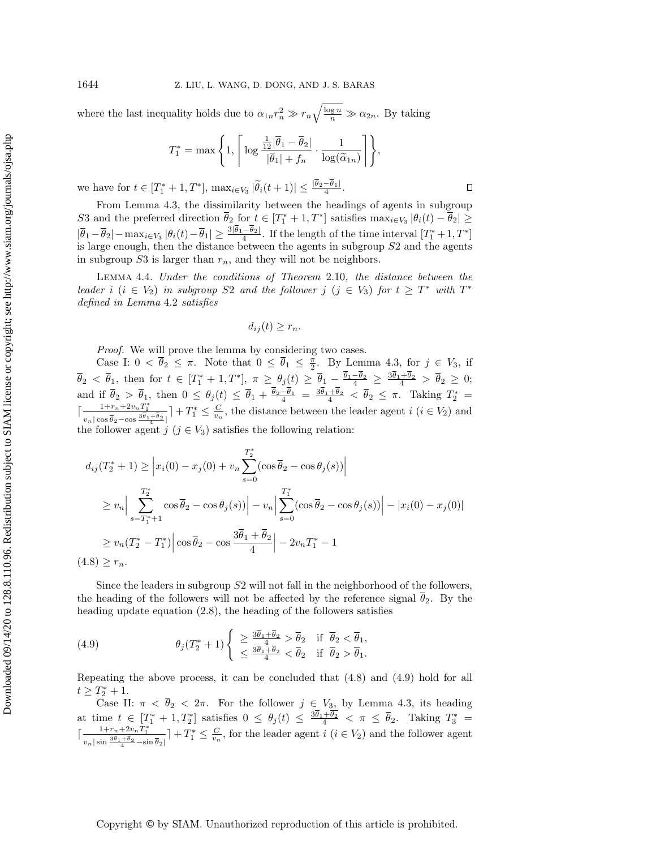where the last inequality holds due to  $\alpha_{1n}r_n^2 \gg r_n\sqrt{\frac{\log n}{n}} \gg \alpha_{2n}$ . By taking

$$
T_1^* = \max\Bigg\{1,\Bigg\lceil\log\frac{\frac{1}{12}|\overline{\theta}_1 - \overline{\theta}_2|}{|\overline{\theta}_1| + f_n}\cdot\frac{1}{\log(\widetilde{\alpha}_{1n})}\Bigg\rceil\Bigg\},\,
$$

 $\Box$ 

we have for  $t \in [T_1^* + 1, T^*]$ ,  $\max_{i \in V_3} |\widetilde{\theta}_i(t + 1)| \leq \frac{|\theta_2 - \theta_1|}{4}$ .

From Lemma [4.3,](#page-17-0) the dissimilarity between the headings of agents in subgroup S3 and the preferred direction  $\overline{\theta}_2$  for  $t \in [T_1^* + 1, T^*]$  satisfies  $\max_{i \in V_3} |\theta_i(t) - \overline{\theta}_2| \geq$  $|\overline{\theta}_1 - \overline{\theta}_2|$  -  $\max_{i \in V_3} |\theta_i(t) - \overline{\theta}_1| \geq \frac{3|\theta_1 - \theta_2|}{4}$ . If the length of the time interval  $[T_1^* + 1, T^*]$ is large enough, then the distance between the agents in subgroup S2 and the agents in subgroup  $S3$  is larger than  $r_n$ , and they will not be neighbors.

<span id="page-18-2"></span>Lemma 4.4. Under the conditions of Theorem [2.10](#page-8-1), the distance between the leader i  $(i \in V_2)$  in subgroup S2 and the follower j  $(j \in V_3)$  for  $t \geq T^*$  with  $T^*$ defined in Lemma [4.2](#page-15-1) satisfies

 $d_{ii}(t) \geq r_n$ .

Proof. We will prove the lemma by considering two cases.

Case I:  $0 < \overline{\theta}_2 \leq \pi$ . Note that  $0 \leq \overline{\theta}_1 \leq \frac{\pi}{2}$ . By Lemma [4.3,](#page-17-0) for  $j \in V_3$ , if  $\overline{\theta}_2 < \overline{\theta}_1$ , then for  $t \in [T_1^* + 1, T^*], \ \pi \geq \theta_j(t) \geq \overline{\theta}_1 - \frac{\theta_1 - \theta_2}{4} \geq \frac{3\theta_1 + \theta_2}{4} > \overline{\theta}_2 \geq 0;$ and if  $\overline{\theta}_2 > \overline{\theta}_1$ , then  $0 \leq \theta_j(t) \leq \overline{\theta}_1 + \frac{\theta_2 - \theta_1}{4} = \frac{3\theta_1 + \theta_2}{4} < \overline{\theta}_2 \leq \pi$ . Taking  $T_2^* =$  $\left[ \frac{1+r_n+2v_nT_1^*}{\sqrt{a_n^2}} \right]$  $\frac{1+r_n+2v_nT_1^*}{v_n|\cos\overline{\theta}_2-\cos\frac{3\overline{\theta}_1+\overline{\theta}_2}{4}|}$  +  $T_1^* \leq \frac{C}{v_n}$ , the distance between the leader agent  $i$   $(i \in V_2)$  and the follower agent  $j \ (j \in V_3)$  satisfies the following relation:

<span id="page-18-0"></span>
$$
d_{ij}(T_2^* + 1) \geq \left| x_i(0) - x_j(0) + v_n \sum_{s=0}^{T_2^*} (\cos \overline{\theta}_2 - \cos \theta_j(s)) \right|
$$
  
\n
$$
\geq v_n \left| \sum_{s=T_1^*+1}^{T_2^*} \cos \overline{\theta}_2 - \cos \theta_j(s) \right| - v_n \left| \sum_{s=0}^{T_1^*} (\cos \overline{\theta}_2 - \cos \theta_j(s)) \right| - \left| x_i(0) - x_j(0) \right|
$$
  
\n
$$
\geq v_n(T_2^* - T_1^*) \left| \cos \overline{\theta}_2 - \cos \frac{3\overline{\theta}_1 + \overline{\theta}_2}{4} \right| - 2v_n T_1^* - 1
$$
  
\n(4.8)  $\geq r_n$ .

Since the leaders in subgroup S2 will not fall in the neighborhood of the followers, the heading of the followers will not be affected by the reference signal  $\overline \theta_2$ . By the heading update equation [\(2.8\)](#page-8-3), the heading of the followers satisfies

<span id="page-18-1"></span>(4.9) 
$$
\theta_j(T_2^*+1) \begin{cases} \geq \frac{3\overline{\theta}_1+\overline{\theta}_2}{4} > \overline{\theta}_2 & \text{if } \overline{\theta}_2 < \overline{\theta}_1, \\ \leq \frac{3\overline{\theta}_1+\overline{\theta}_2}{4} < \overline{\theta}_2 & \text{if } \overline{\theta}_2 > \overline{\theta}_1. \end{cases}
$$

Repeating the above process, it can be concluded that [\(4.8\)](#page-18-0) and [\(4.9\)](#page-18-1) hold for all  $t \geq T_2^* + 1.$ 

Case II:  $\pi < \overline{\theta}_2 < 2\pi$ . For the follower  $j \in V_3$ , by Lemma [4.3,](#page-17-0) its heading at time  $t \in [T_1^* + 1, T_2^*]$  satisfies  $0 \leq \theta_j(t) \leq \frac{3\theta_1+\theta_2}{4} < \pi \leq \overline{\theta}_2$ . Taking  $T_3^* =$  $\lceil \frac{1\!+\!r_n\!+\!2v_nT_1^*}{v_n|\sin\frac{3\overline{\theta} _1+\overline{\theta} _2}{4}-\sin\overline{\theta} _2|}$  $\vert + T_1^* \leq \frac{C}{v_n}$ , for the leader agent  $i$   $(i \in V_2)$  and the follower agent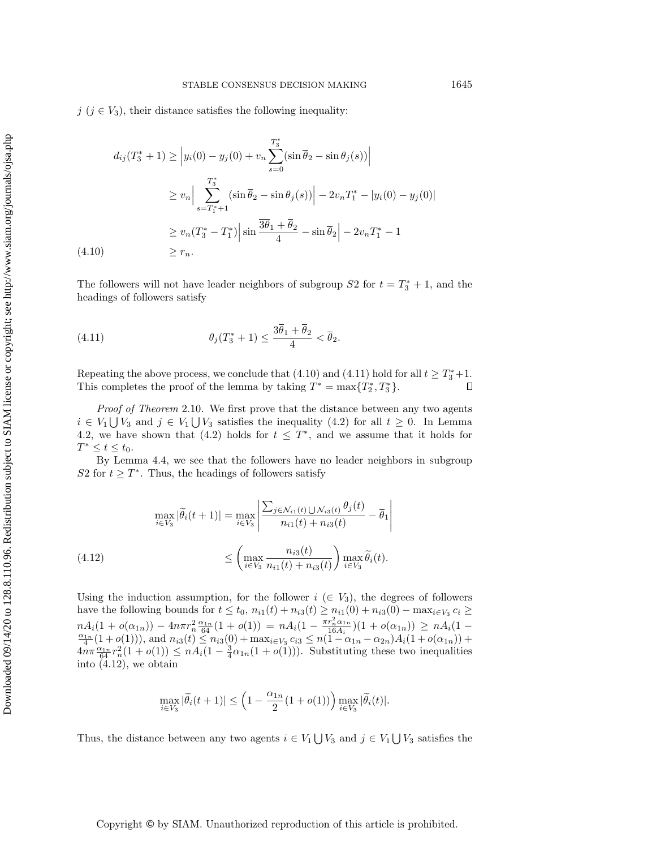<span id="page-19-0"></span>
$$
d_{ij}(T_3^* + 1) \ge |y_i(0) - y_j(0) + v_n \sum_{s=0}^{T_3^*} (\sin \overline{\theta}_2 - \sin \theta_j(s))|
$$
  
\n
$$
\ge v_n \Big| \sum_{s=T_1^*+1}^{T_3^*} (\sin \overline{\theta}_2 - \sin \theta_j(s)) \Big| - 2v_n T_1^* - |y_i(0) - y_j(0)|
$$
  
\n
$$
\ge v_n (T_3^* - T_1^*) \Big| \sin \frac{\overline{3\theta}_1 + \overline{\theta}_2}{4} - \sin \overline{\theta}_2 \Big| - 2v_n T_1^* - 1
$$
  
\n(4.10)  $\ge r_n.$ 

The followers will not have leader neighbors of subgroup  $S2$  for  $t = T_3^* + 1$ , and the headings of followers satisfy

<span id="page-19-1"></span>(4.11) 
$$
\theta_j(T_3^*+1) \leq \frac{3\overline{\theta}_1 + \overline{\theta}_2}{4} < \overline{\theta}_2.
$$

Repeating the above process, we conclude that [\(4.10\)](#page-19-0) and [\(4.11\)](#page-19-1) hold for all  $t \geq T_3^* + 1$ . This completes the proof of the lemma by taking  $T^* = \max\{ T_2^*, T_3^* \}.$  $\Box$ 

Proof of Theorem [2.10](#page-8-1). We first prove that the distance between any two agents  $i \in V_1 \bigcup V_3$  and  $j \in V_1 \bigcup V_3$  satisfies the inequality [\(4.2\)](#page-15-0) for all  $t \geq 0$ . In Lemma [4.2,](#page-15-1) we have shown that [\(4.2\)](#page-15-0) holds for  $t \leq T^*$ , and we assume that it holds for  $T^* \leq t \leq t_0.$ 

By Lemma [4.4,](#page-18-2) we see that the followers have no leader neighbors in subgroup S2 for  $t \geq T^*$ . Thus, the headings of followers satisfy

<span id="page-19-2"></span>
$$
\max_{i \in V_3} |\widetilde{\theta}_i(t+1)| = \max_{i \in V_3} \left| \frac{\sum_{j \in \mathcal{N}_{i1}(t) \cup \mathcal{N}_{i3}(t)} \theta_j(t)}{n_{i1}(t) + n_{i3}(t)} - \overline{\theta}_1 \right|
$$
\n
$$
\leq \left( \max_{i \in V_3} \frac{n_{i3}(t)}{n_{i1}(t) + n_{i3}(t)} \right) \max_{i \in V_3} \widetilde{\theta}_i(t).
$$
\n(4.12)

Using the induction assumption, for the follower  $i \in V_3$ , the degrees of followers have the following bounds for  $t \leq t_0$ ,  $n_{i1}(t) + n_{i3}(t) \geq n_{i1}(0) + n_{i3}(0) - \max_{i \in V_3} c_i \geq$  $nA_i(1 + o(\alpha_{1n})) - 4n\pi r_n^2 \frac{\alpha_{1n}}{64}(1 + o(1)) = nA_i(1 - \frac{\pi r_n^2 \alpha_{1n}}{16A_i})(1 + o(\alpha_{1n})) \ge nA_i(1 - \frac{\alpha_{1n}}{4}(1 + o(1))),$  and  $n_{i3}(t) \le n_{i3}(0) + \max_{i \in V_3} c_{i3} \le n(1 - \alpha_{1n} - \alpha_{2n})A_i(1 + o(\alpha_{1n})) +$  $4n\pi \frac{\alpha_{1n}}{64} r_n^2(1 + o(1)) \leq nA_i(1 - \frac{3}{4}\alpha_{1n}(1 + o(1))).$  Substituting these two inequalities into  $(4.12)$ , we obtain

$$
\max_{i \in V_3} |\widetilde{\theta}_i(t+1)| \le \left(1 - \frac{\alpha_{1n}}{2}(1 + o(1))\right) \max_{i \in V_3} |\widetilde{\theta}_i(t)|.
$$

Thus, the distance between any two agents  $i \in V_1 \bigcup V_3$  and  $j \in V_1 \bigcup V_3$  satisfies the

Copyright © by SIAM. Unauthorized reproduction of this article is prohibited.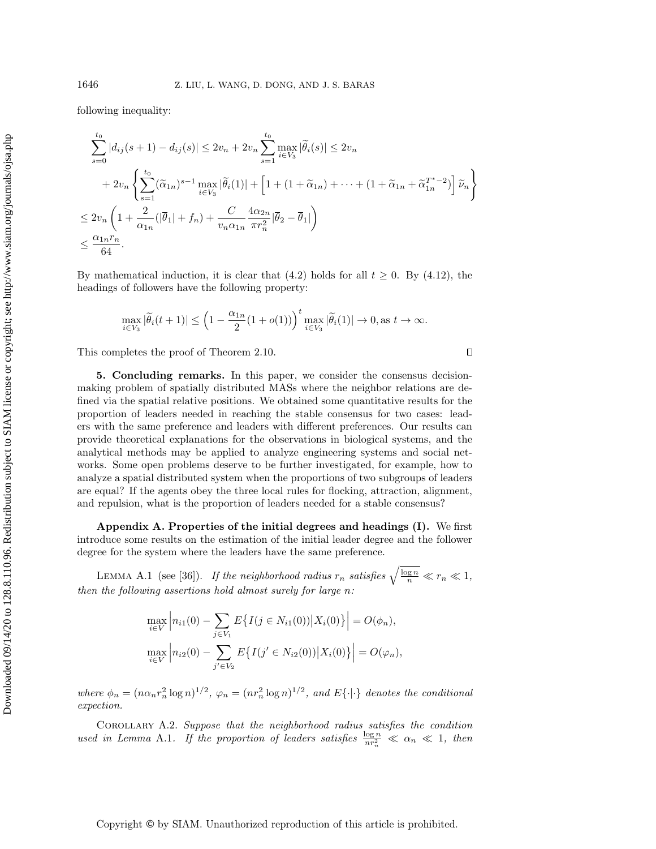following inequality:

$$
\sum_{s=0}^{t_0} |d_{ij}(s+1) - d_{ij}(s)| \le 2v_n + 2v_n \sum_{s=1}^{t_0} \max_{i \in V_3} |\tilde{\theta}_i(s)| \le 2v_n
$$
  
+ 
$$
2v_n \left\{ \sum_{s=1}^{t_0} (\tilde{\alpha}_{1n})^{s-1} \max_{i \in V_3} |\tilde{\theta}_i(1)| + \left[ 1 + (1 + \tilde{\alpha}_{1n}) + \dots + (1 + \tilde{\alpha}_{1n} + \tilde{\alpha}_{1n}^{T^*-2}) \right] \tilde{\nu}_n \right\}
$$
  

$$
\le 2v_n \left( 1 + \frac{2}{\alpha_{1n}} (|\bar{\theta}_1| + f_n) + \frac{C}{v_n \alpha_{1n}} \frac{4\alpha_{2n}}{\pi r_n^2} |\bar{\theta}_2 - \bar{\theta}_1| \right)
$$
  

$$
\le \frac{\alpha_{1n} r_n}{64}.
$$

By mathematical induction, it is clear that [\(4.2\)](#page-15-0) holds for all  $t \geq 0$ . By [\(4.12\)](#page-19-2), the headings of followers have the following property:

$$
\max_{i\in V_3} |\widetilde{\theta}_i(t+1)| \le \left(1 - \frac{\alpha_{1n}}{2}(1+o(1))\right)^t \max_{i\in V_3} |\widetilde{\theta}_i(1)| \to 0, \text{ as } t \to \infty.
$$

 $\Box$ 

This completes the proof of Theorem [2.10.](#page-8-1)

<span id="page-20-0"></span>5. Concluding remarks. In this paper, we consider the consensus decisionmaking problem of spatially distributed MASs where the neighbor relations are defined via the spatial relative positions. We obtained some quantitative results for the proportion of leaders needed in reaching the stable consensus for two cases: leaders with the same preference and leaders with different preferences. Our results can provide theoretical explanations for the observations in biological systems, and the analytical methods may be applied to analyze engineering systems and social networks. Some open problems deserve to be further investigated, for example, how to analyze a spatial distributed system when the proportions of two subgroups of leaders are equal? If the agents obey the three local rules for flocking, attraction, alignment, and repulsion, what is the proportion of leaders needed for a stable consensus?

<span id="page-20-1"></span>Appendix A. Properties of the initial degrees and headings (I). We first introduce some results on the estimation of the initial leader degree and the follower degree for the system where the leaders have the same preference.

<span id="page-20-3"></span>LEMMA A.1 (see [\[36\]](#page-25-8)). If the neighborhood radius  $r_n$  satisfies  $\sqrt{\frac{\log n}{n}} \ll r_n \ll 1$ , then the following assertions hold almost surely for large n:

$$
\max_{i \in V} \left| n_{i1}(0) - \sum_{j \in V_1} E\{ I(j \in N_{i1}(0)) | X_i(0) \} \right| = O(\phi_n),
$$
  

$$
\max_{i \in V} \left| n_{i2}(0) - \sum_{j' \in V_2} E\{ I(j' \in N_{i2}(0)) | X_i(0) \} \right| = O(\phi_n),
$$

where  $\phi_n = (n\alpha_n r_n^2 \log n)^{1/2}$ ,  $\varphi_n = (nr_n^2 \log n)^{1/2}$ , and  $E\{\cdot | \cdot \}$  denotes the conditional expection.

<span id="page-20-2"></span>Corollary A.2. Suppose that the neighborhood radius satisfies the condition used in Lemma [A.1](#page-20-3). If the proportion of leaders satisfies  $\frac{\log n}{n r_n^2} \ll \alpha_n \ll 1$ , then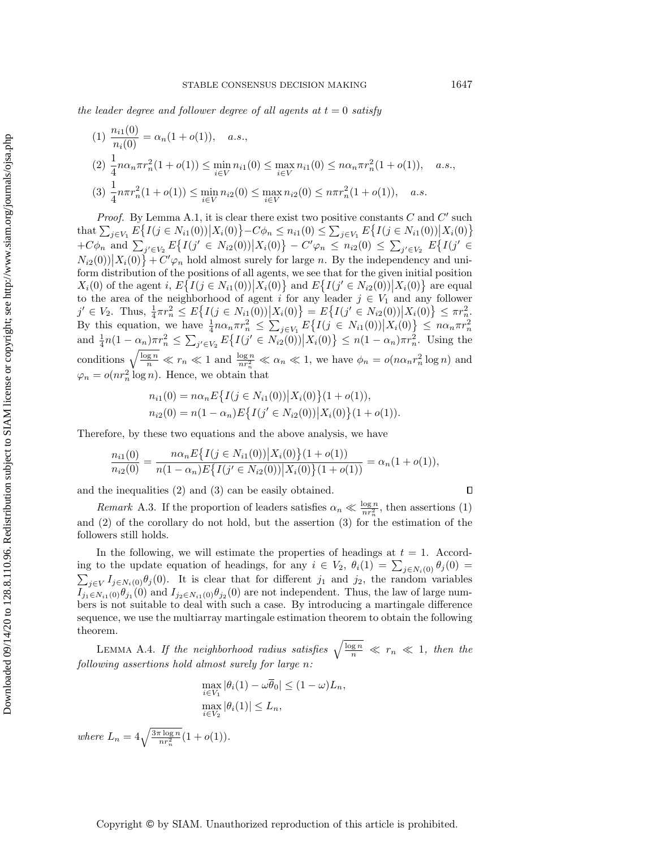the leader degree and follower degree of all agents at  $t = 0$  satisfy

$$
(1) \frac{n_{i1}(0)}{n_{i}(0)} = \alpha_n (1 + o(1)), \quad a.s.,
$$
  
\n
$$
(2) \frac{1}{4} n \alpha_n \pi r_n^2 (1 + o(1)) \le \min_{i \in V} n_{i1}(0) \le \max_{i \in V} n_{i1}(0) \le n \alpha_n \pi r_n^2 (1 + o(1)), \quad a.s.,
$$
  
\n
$$
(3) \frac{1}{4} n \pi r_n^2 (1 + o(1)) \le \min_{i \in V} n_{i2}(0) \le \max_{i \in V} n_{i2}(0) \le n \pi r_n^2 (1 + o(1)), \quad a.s.
$$

Proof. By Lemma [A.1,](#page-20-3) it is clear there exist two positive constants  $C$  and  $C'$  such that  $\sum_{j \in V_1} E\{ I(j \in N_{i1}(0)) | X_i(0) \} - C\phi_n \leq n_{i1}(0) \leq \sum_{j \in V_1} E\{ I(j \in N_{i1}(0)) | X_i(0) \}$  $+C\phi_n$  and  $\sum_{j' \in V_2} E\{ I(j' \in N_{i2}(0)) | X_i(0) \} - C'\varphi_n \leq n_{i2}(0) \leq \sum_{j' \in V_2} E\{ I(j' \in V_1) | X_i(0) \}$  $N_{i2}(0) | X_i(0) \} + C' \varphi_n$  hold almost surely for large n. By the independency and uniform distribution of the positions of all agents, we see that for the given initial position  $X_i(0)$  of the agent i,  $E\{ I(j \in N_{i1}(0)) | X_i(0) \}$  and  $E\{ I(j' \in N_{i2}(0)) | X_i(0) \}$  are equal to the area of the neighborhood of agent i for any leader  $j \in V_1$  and any follower  $j' \in V_2$ . Thus,  $\frac{1}{4}\pi r_n^2 \leq E\{ I(j \in N_{i1}(0)) | X_i(0) \} = E\{ I(j' \in N_{i2}(0)) | X_i(0) \} \leq \pi r_n^2$ By this equation, we have  $\frac{1}{4}n\alpha_n \pi r_n^2 \le \sum_{j \in V_1} E\{I(j \in N_{i1}(0)) | X_i(0)\} \le n\alpha_n \pi r_n^2$ <br>and  $\frac{1}{4}n(1 - \alpha_n)\pi r_n^2 \le \sum_{j' \in V_2} E\{I(j' \in N_{i2}(0)) | X_i(0)\} \le n(1 - \alpha_n)\pi r_n^2$ . Using the conditions  $\sqrt{\frac{\log n}{n}} \ll r_n \ll 1$  and  $\frac{\log n}{nr_n^2} \ll \alpha_n \ll 1$ , we have  $\phi_n = o(n\alpha_n r_n^2 \log n)$  and  $\varphi_n = o(nr_n^2 \log n)$ . Hence, we obtain that

$$
n_{i1}(0) = n\alpha_n E\{I(j \in N_{i1}(0)) | X_i(0)\}(1 + o(1)),
$$
  
\n
$$
n_{i2}(0) = n(1 - \alpha_n) E\{I(j' \in N_{i2}(0)) | X_i(0)\}(1 + o(1)).
$$

Therefore, by these two equations and the above analysis, we have

$$
\frac{n_{i1}(0)}{n_{i2}(0)} = \frac{n\alpha_n E\{I(j \in N_{i1}(0))|X_i(0)\}(1+o(1))}{n(1-\alpha_n)E\{I(j' \in N_{i2}(0))|X_i(0)\}(1+o(1))} = \alpha_n(1+o(1)),
$$

and the inequalities (2) and (3) can be easily obtained.

 $\Box$ 

Remark A.3. If the proportion of leaders satisfies  $\alpha_n \ll \frac{\log n}{nr_n^2}$ , then assertions (1) and (2) of the corollary do not hold, but the assertion (3) for the estimation of the followers still holds.

In the following, we will estimate the properties of headings at  $t = 1$ . According to the update equation of headings, for any  $i \in V_2$ ,  $\theta_i(1) = \sum_{j \in N_i(0)} \theta_j(0) =$  $\sum_{j\in V} I_{j\in N_i(0)}\theta_j(0)$ . It is clear that for different  $j_1$  and  $j_2$ , the random variables  $I_{j_1\in N_{i1}(0)}\theta_{j_1}(0)$  and  $I_{j_2\in N_{i1}(0)}\theta_{j_2}(0)$  are not independent. Thus, the law of large numbers is not suitable to deal with such a case. By introducing a martingale difference sequence, we use the multiarray martingale estimation theorem to obtain the following theorem.

<span id="page-21-0"></span>LEMMA A.4. If the neighborhood radius satisfies  $\sqrt{\frac{\log n}{n}} \ll r_n \ll 1$ , then the following assertions hold almost surely for large n:

$$
\max_{i \in V_1} |\theta_i(1) - \omega \overline{\theta}_0| \le (1 - \omega)L_n,
$$
  

$$
\max_{i \in V_2} |\theta_i(1)| \le L_n,
$$
  

$$
\rho(1))
$$

where  $L_n = 4\sqrt{\frac{3\pi \log n}{nr_n^2}}(1 + o(1)).$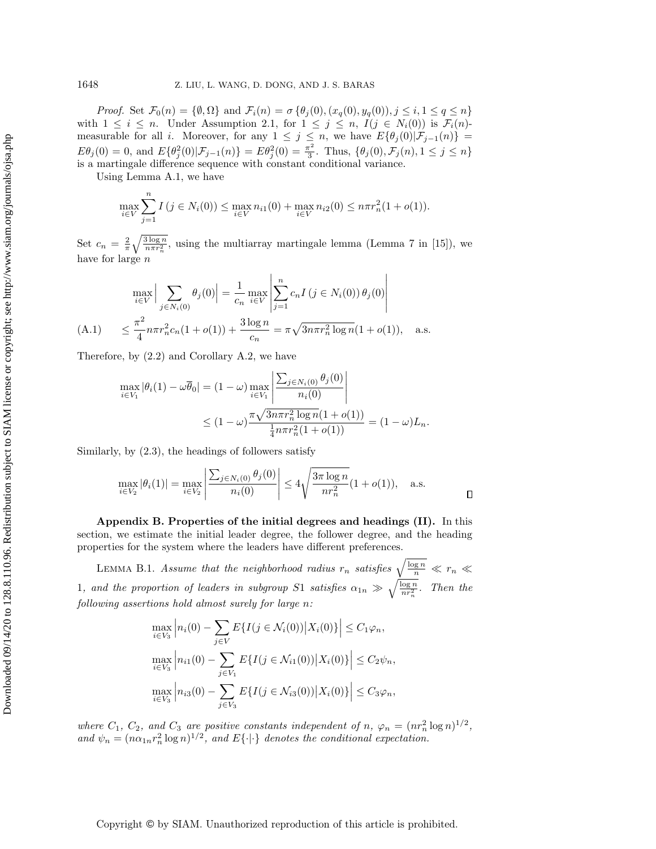*Proof.* Set  $\mathcal{F}_0(n) = \{ \emptyset, \Omega \}$  and  $\mathcal{F}_i(n) = \sigma \{ \theta_j (0), (x_q(0), y_q(0)), j \leq i, 1 \leq q \leq n\}$ with  $1 \leq i \leq n$ . Under Assumption [2.1,](#page-5-1) for  $1 \leq j \leq n$ ,  $I(j \in N_i(0))$  is  $\mathcal{F}_i(n)$ measurable for all i. Moreover, for any  $1 \leq j \leq n$ , we have  $E\{ \theta_j (0)| \mathcal{F}_{j-1}(n)\} =$  $E\theta_j (0) = 0$ , and  $E\{ \theta_j^2 (0) | \mathcal{F}_{j-1} (n)\} = E\theta_j^2 (0) = \frac{\pi^2}{3}$  $\frac{\tau^2}{3}$ . Thus,  $\{ \theta_j (0), \mathcal{F}_j (n), 1 \leq j \leq n\}$ is a martingale difference sequence with constant conditional variance.

Using Lemma [A.1,](#page-20-3) we have

 $\overline{\phantom{a}}$ 

$$
\max_{i \in V} \sum_{j=1}^{N} I(j \in N_i(0)) \le \max_{i \in V} n_{i1}(0) + \max_{i \in V} n_{i2}(0) \le n \pi r_n^2 (1 + o(1)).
$$

Set  $c_n = \frac{2}{\pi} \sqrt{\frac{3 \log n}{n \pi r_n^2}}$ , using the multiarray martingale lemma (Lemma 7 in [\[15\]](#page-24-14)), we have for large n

<span id="page-22-2"></span>
$$
\max_{i \in V} \left| \sum_{j \in N_i(0)} \theta_j(0) \right| = \frac{1}{c_n} \max_{i \in V} \left| \sum_{j=1}^n c_n I(j \in N_i(0)) \theta_j(0) \right|
$$
\n(A.1) 
$$
\leq \frac{\pi^2}{4} n \pi r_n^2 c_n (1 + o(1)) + \frac{3 \log n}{c_n} = \pi \sqrt{3 n \pi r_n^2 \log n} (1 + o(1)), \quad \text{a.s.}
$$

Therefore, by [\(2.2\)](#page-3-1) and Corollary [A.2,](#page-20-2) we have

$$
\max_{i \in V_1} |\theta_i(1) - \omega \overline{\theta}_0| = (1 - \omega) \max_{i \in V_1} \left| \frac{\sum_{j \in N_i(0)} \theta_j(0)}{n_i(0)} \right|
$$
  
 
$$
\leq (1 - \omega) \frac{\pi \sqrt{3n \pi r_n^2 \log n (1 + o(1))}}{\frac{1}{4} n \pi r_n^2 (1 + o(1))} = (1 - \omega) L_n.
$$

Similarly, by [\(2.3\)](#page-4-0), the headings of followers satisfy

$$
\max_{i \in V_2} |\theta_i(1)| = \max_{i \in V_2} \left| \frac{\sum_{j \in N_i(0)} \theta_j(0)}{n_i(0)} \right| \le 4 \sqrt{\frac{3\pi \log n}{nr_n^2}} (1 + o(1)), \quad \text{a.s.}
$$

<span id="page-22-1"></span>Appendix B. Properties of the initial degrees and headings (II). In this section, we estimate the initial leader degree, the follower degree, and the heading properties for the system where the leaders have different preferences.

<span id="page-22-0"></span>LEMMA B.1. Assume that the neighborhood radius  $r_n$  satisfies  $\sqrt{\frac{\log n}{n}} \ll r_n \ll$ 1, and the proportion of leaders in subgroup S1 satisfies  $\alpha_{1n} \gg \sqrt{\frac{\log n}{nr_n^2}}$ . Then the following assertions hold almost surely for large n:

$$
\max_{i \in V_3} \left| n_i(0) - \sum_{j \in V} E\{I(j \in \mathcal{N}_i(0)) | X_i(0)\} \right| \le C_1 \varphi_n,
$$
  

$$
\max_{i \in V_3} \left| n_{i1}(0) - \sum_{j \in V_1} E\{I(j \in \mathcal{N}_{i1}(0)) | X_i(0)\} \right| \le C_2 \psi_n,
$$
  

$$
\max_{i \in V_3} \left| n_{i3}(0) - \sum_{j \in V_3} E\{I(j \in \mathcal{N}_{i3}(0)) | X_i(0)\} \right| \le C_3 \varphi_n,
$$

where  $C_1$ ,  $C_2$ , and  $C_3$  are positive constants independent of n,  $\varphi_n = (nr_n^2 \log n)^{1/2}$ , and  $\psi_n = (n\alpha_{1n}r_n^2 \log n)^{1/2}$ , and  $E\{\cdot | \cdot \}$  denotes the conditional expectation.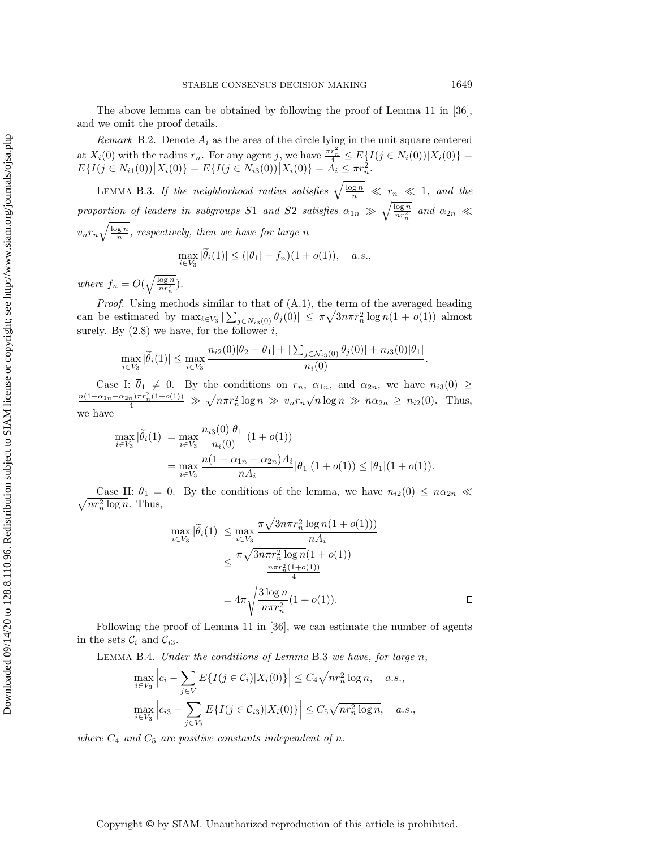The above lemma can be obtained by following the proof of Lemma 11 in [\[36\]](#page-25-8), and we omit the proof details.

<span id="page-23-0"></span>Remark B.2. Denote  $A_i$  as the area of the circle lying in the unit square centered at  $X_i(0)$  with the radius  $r_n$ . For any agent j, we have  $\frac{\pi r_n^2}{4} \leq E\{I(j \in N_i(0))|X_i(0)\}$  $E\{I(j \in N_{i1}(0)) | X_i(0)\} = E\{I(j \in N_{i3}(0)) | X_i(0)\} = \tilde{A}_i \leq \pi r_n^2.$ 

<span id="page-23-2"></span>LEMMA B.3. If the neighborhood radius satisfies  $\sqrt{\frac{\log n}{n}} \ll r_n \ll 1$ , and the proportion of leaders in subgroups S1 and S2 satisfies  $\alpha_{1n} \gg \sqrt{\frac{\log n}{nr_n^2}}$  and  $\alpha_{2n} \ll$  $v_n r_n \sqrt{\frac{\log n}{n}}$ , respectively, then we have for large n  $\max_{i \in V_3} |\theta_i(1)| \leq (|\overline{\theta}_1| + f_n)(1 + o(1)), \quad a.s.,$ 

where  $f_n = O(\sqrt{\frac{\log n}{nr_n^2}})$ .

*Proof.* Using methods similar to that of  $(A.1)$ , the term of the averaged heading can be estimated by  $\max_{i \in V_3} |\sum_{j \in N_{i3}(0)} \theta_j(0)| \leq \pi \sqrt{3n\pi r_n^2 \log n} (1 + o(1))$  almost surely. By  $(2.8)$  we have, for the follower i,

$$
\max_{i \in V_3} |\tilde{\theta}_i(1)| \le \max_{i \in V_3} \frac{n_{i2}(0)|\overline{\theta}_2 - \overline{\theta}_1| + |\sum_{j \in \mathcal{N}_{i3}(0)} \theta_j(0)| + n_{i3}(0)|\overline{\theta}_1|}{n_i(0)}.
$$

Case I:  $\overline{\theta}_1 \neq 0$ . By the conditions on  $r_n$ ,  $\alpha_{1n}$ , and  $\alpha_{2n}$ , we have  $n_{i3}(0) \geq$  $\frac{n(1-\alpha_{1n}-\alpha_{2n})\pi r_n^2(1+o(1))}{4} \gg \sqrt{n\pi r_n^2 \log n} \gg v_n r_n \sqrt{n \log n} \gg n\alpha_{2n} \geq n_{i2}(0)$ . Thus, we have

$$
\max_{i \in V_3} |\tilde{\theta}_i(1)| = \max_{i \in V_3} \frac{n_{i3}(0)|\bar{\theta}_1|}{n_i(0)} (1 + o(1))
$$
  
= 
$$
\max_{i \in V_3} \frac{n(1 - \alpha_{1n} - \alpha_{2n})A_i}{nA_i} |\bar{\theta}_1|(1 + o(1)) \leq |\bar{\theta}_1|(1 + o(1)).
$$

 $\sqrt{nr_n^2 \log n}$ . Thus, Case II:  $\bar{\theta}_1 = 0$ . By the conditions of the lemma, we have  $n_{i2}(0) \leq n\alpha_{2n} \ll$ 

$$
\max_{i \in V_3} |\tilde{\theta}_i(1)| \le \max_{i \in V_3} \frac{\pi \sqrt{3n\pi r_n^2 \log n (1 + o(1))}}{nA_i}
$$
  

$$
\le \frac{\pi \sqrt{3n\pi r_n^2 \log n (1 + o(1))}}{\frac{n\pi r_n^2 (1 + o(1))}{4}}
$$
  

$$
= 4\pi \sqrt{\frac{3\log n}{n\pi r_n^2} (1 + o(1))}. \qquad \Box
$$

Following the proof of Lemma 11 in [\[36\]](#page-25-8), we can estimate the number of agents in the sets  $\mathcal{C}_i$  and  $\mathcal{C}_{i3}$ .

<span id="page-23-1"></span>Lemma B.4. Under the conditions of Lemma [B.3](#page-23-2) we have, for large n,

$$
\max_{i \in V_3} \left| c_i - \sum_{j \in V} E\{I(j \in C_i) | X_i(0)\} \right| \le C_4 \sqrt{n r_n^2 \log n}, \quad a.s.,
$$

$$
\max_{i \in V_3} \left| c_{i3} - \sum_{j \in V_3} E\{I(j \in C_{i3}) | X_i(0)\} \right| \le C_5 \sqrt{n r_n^2 \log n}, \quad a.s.,
$$

where  $C_4$  and  $C_5$  are positive constants independent of n.

Downloaded 09/14/20 to 128.8.110.96. Redistribution subject to SIAM license or copyright; see http://www.siam.org/journals/ojsa.php Downloaded 09/14/20 to 128.8.110.96. Redistribution subject to SIAM license or copyright; see http://www.siam.org/journals/ojsa.php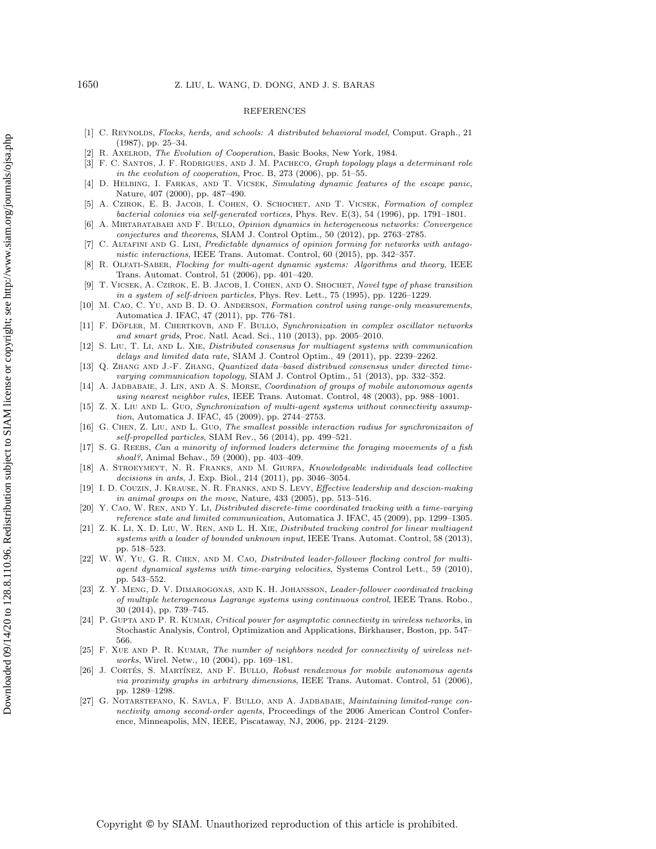#### REFERENCES

- <span id="page-24-0"></span>[1] C. REYNOLDS, Flocks, herds, and schools: A distributed behavioral model, Comput. Graph., 21  $(1987)$ , pp. 25-34.
- <span id="page-24-1"></span>[2] R. AXELROD, The Evolution of Cooperation, Basic Books, New York, 1984.
- <span id="page-24-2"></span>[3] F. C. Santos, J. F. Rodrigues, and J. M. Pacheco, Graph topology plays a determinant role in the evolution of cooperation, Proc. B,  $273$  (2006), pp. 51–55.
- <span id="page-24-3"></span>[4] D. Helbing, I. Farkas, and T. Vicsek, Simulating dynamic features of the escape panic, Nature, 407 (2000), pp. 487-490.
- <span id="page-24-4"></span>[5] A. CZIROK, E. B. JACOB, I. COHEN, O. SCHOCHET, AND T. VICSEK, Formation of complex bacterial colonies via self-generated vortices, Phys. Rev. E(3), 54 (1996), pp. 1791–1801.
- <span id="page-24-5"></span>A. MIRTABATABAEI AND F. BULLO, Opinion dynamics in heterogeneous networks: Convergence conjectures and theorems, SIAM J. Control Optim., 50 (2012), pp. 2763-2785.
- <span id="page-24-6"></span>[7] C. Altafini and G. Lini, Predictable dynamics of opinion forming for networks with antagonistic interactions, IEEE Trans. Automat. Control, 60 (2015), pp. 342-357.
- <span id="page-24-7"></span>[8] R. Olfati-Saber, Flocking for multi-agent dynamic systems: Algorithms and theory, IEEE Trans. Automat. Control, 51 (2006), pp. 401-420.
- <span id="page-24-8"></span>T. VICSEK, A. CZIROK, E. B. JACOB, I. COHEN, AND O. SHOCHET, Novel type of phase transition in a system of self-driven particles, Phys. Rev. Lett.,  $75$  (1995), pp. 1226-1229.
- <span id="page-24-9"></span>[10] M. CAO, C. YU, AND B. D. O. ANDERSON, Formation control using range-only measurements, Automatica J. IFAC, 47 (2011), pp. 776-781.
- <span id="page-24-10"></span>[11] F. DÖFLER, M. CHERTKOVB, AND F. BULLO, Synchronization in complex oscillator networks and smart grids, Proc. Natl. Acad. Sci., 110 (2013), pp. 2005-2010.
- <span id="page-24-11"></span>[12] S. Liu, T. Li, and L. Xie, Distributed consensus for multiagent systems with communication delays and limited data rate, SIAM J. Control Optim.,  $49$  (2011), pp. 2239-2262.
- <span id="page-24-12"></span>[13] Q. ZHANG AND J.-F. ZHANG, Quantized data-based distribued consensus under directed timevarying communication topology, SIAM J. Control Optim., 51 (2013), pp. 332-352.
- <span id="page-24-13"></span>[14] A. JADBABAIE, J. LIN, AND A. S. MORSE, *Coordination of groups of mobile autonomous agents* using nearest neighbor rules, IEEE Trans. Automat. Control, 48 (2003), pp. 988–1001.
- <span id="page-24-14"></span>[15] Z. X. LIU AND L. GUO, Synchronization of multi-agent systems without connectivity assump $tion,$  Automatica J. IFAC, 45 (2009), pp. 2744-2753.
- <span id="page-24-15"></span>[16] G. Chen, Z. Liu, and L. Guo, The smallest possible interaction radius for synchronizaiton of self-propelled particles, SIAM Rev., 56 (2014), pp. 499-521.
- <span id="page-24-16"></span>[17] S. G. REEBS, Can a minority of informed leaders determine the foraging movements of a fish shoal?, Animal Behav., 59 (2000), pp. 403-409.
- <span id="page-24-17"></span>[18] A. Stroeymeyt, N. R. Franks, and M. Giurfa, Knowledgeable individuals lead collective decisions in ants, J. Exp. Biol., 214 (2011), pp. 3046-3054.
- <span id="page-24-26"></span>[19] I. D. Couzin, J. Krause, N. R. Franks, and S. Levy, Effective leadership and descion-making in animal groups on the move, Nature,  $433$  (2005), pp. 513-516.
- <span id="page-24-18"></span>Y. CAO, W. REN, AND Y. LI, Distributed discrete-time coordinated tracking with a time-varying reference state and limited communication, Automatica J. IFAC, 45 (2009), pp. 1299–1305.
- <span id="page-24-19"></span>[21] Z. K. Li, X. D. Liu, W. Ren, and L. H. Xie, Distributed tracking control for linear multiagent systems with a leader of bounded unknown input, IEEE Trans. Automat. Control, 58 (2013), pp. 518--523.
- <span id="page-24-20"></span>[22] W. W. Yu, G. R. Chen, and M. Cao, Distributed leader-follower flocking control for multiagent dynamical systems with time-varying velocities, Systems Control Lett., 59 (2010), pp. 543--552.
- <span id="page-24-21"></span>[23] Z. Y. Meng, D. V. Dimarogonas, and K. H. Johansson, Leader-follower coordinated tracking of multiple heterogeneous Lagrange systems using continuous control, IEEE Trans. Robo., 30 (2014), pp. 739–745.
- <span id="page-24-22"></span>[24] P. GUPTA AND P. R. KUMAR, Critical power for asymptotic connectivity in wireless networks, in Stochastic Analysis, Control, Optimization and Applications, Birkhauser, Boston, pp. 547-- 566.
- <span id="page-24-23"></span>[25] F. XUE AND P. R. KUMAR, The number of neighbors needed for connectivity of wireless networks, Wirel. Netw., 10 (2004), pp. 169-181.
- <span id="page-24-24"></span>[26] J. CORTÉS, S. MARTÍNEZ, AND F. BULLO, Robust rendezvous for mobile autonomous agents via proximity graphs in arbitrary dimensions, IEEE Trans. Automat. Control, 51 (2006), pp. 1289-1298.
- <span id="page-24-25"></span>[27] G. Notarstefano, K. Savla, F. Bullo, and A. Jadbabaie, Maintaining limited-range connectivity among second-order agents, Proceedings of the 2006 American Control Conference, Minneapolis, MN, IEEE, Piscataway, NJ, 2006, pp. 2124-2129.